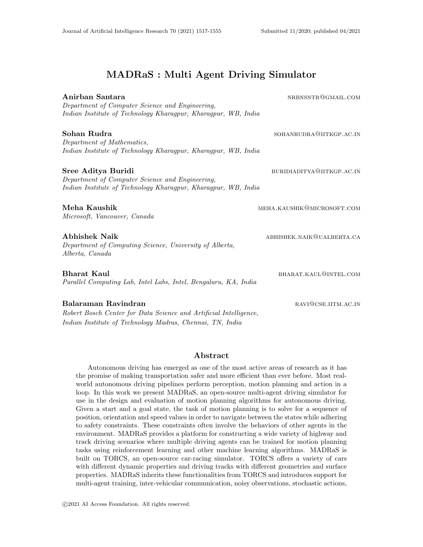# MADRaS : Multi Agent Driving Simulator

Anirban Santara nrbnsntr@gmail.com nrbnsntr *Department of Computer Science and Engineering, Indian Institute of Technology Kharagpur, Kharagpur, WB, India* Sohan Rudra sohanrumann sohanrumann sohanrumann sohanrumann sohanrumann sohanrumann sohanrumann sohanrumann so *Department of Mathematics, Indian Institute of Technology Kharagpur, Kharagpur, WB, India* Sree Aditya Buridian buridian buridian buridian buridian buridian buridian buridian buridian buridian buridian *Department of Computer Science and Engineering, Indian Institute of Technology Kharagpur, Kharagpur, WB, India* Meha Kaushik meha.kaushik@microsoft.com *Microsoft, Vancouver, Canada* Abhishek Naik abhishek naik abhishek.naik abhishek.naik abhishek.naik abhishek.naik abhishek.naik abhishek.naik abh *Department of Computing Science, University of Alberta, Alberta, Canada* Bharat Kaul bharat.kaul bharat.kaul@intel.com *Parallel Computing Lab, Intel Labs, Intel, Bengaluru, KA, India* Balaraman Ravindran ravis and the settlement of the settlement of the settlement of the settlement of the settlement of the settlement of the settlement of the settlement of the settlement of the settlement of the settleme *Robert Bosch Center for Data Science and Artificial Intelligence, Indian Institute of Technology Madras, Chennai, TN, India*

# Abstract

Autonomous driving has emerged as one of the most active areas of research as it has the promise of making transportation safer and more efficient than ever before. Most realworld autonomous driving pipelines perform perception, motion planning and action in a loop. In this work we present MADRaS, an open-source multi-agent driving simulator for use in the design and evaluation of motion planning algorithms for autonomous driving. Given a start and a goal state, the task of motion planning is to solve for a sequence of position, orientation and speed values in order to navigate between the states while adhering to safety constraints. These constraints often involve the behaviors of other agents in the environment. MADRaS provides a platform for constructing a wide variety of highway and track driving scenarios where multiple driving agents can be trained for motion planning tasks using reinforcement learning and other machine learning algorithms. MADRaS is built on TORCS, an open-source car-racing simulator. TORCS offers a variety of cars with different dynamic properties and driving tracks with different geometries and surface properties. MADRaS inherits these functionalities from TORCS and introduces support for multi-agent training, inter-vehicular communication, noisy observations, stochastic actions,

c 2021 AI Access Foundation. All rights reserved.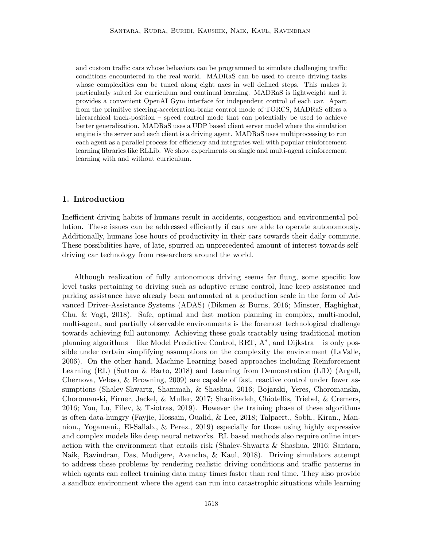and custom traffic cars whose behaviors can be programmed to simulate challenging traffic conditions encountered in the real world. MADRaS can be used to create driving tasks whose complexities can be tuned along eight axes in well defined steps. This makes it particularly suited for curriculum and continual learning. MADRaS is lightweight and it provides a convenient OpenAI Gym interface for independent control of each car. Apart from the primitive steering-acceleration-brake control mode of TORCS, MADRaS offers a hierarchical track-position – speed control mode that can potentially be used to achieve better generalization. MADRaS uses a UDP based client server model where the simulation engine is the server and each client is a driving agent. MADRaS uses multiprocessing to run each agent as a parallel process for efficiency and integrates well with popular reinforcement learning libraries like RLLib. We show experiments on single and multi-agent reinforcement learning with and without curriculum.

### 1. Introduction

Inefficient driving habits of humans result in accidents, congestion and environmental pollution. These issues can be addressed efficiently if cars are able to operate autonomously. Additionally, humans lose hours of productivity in their cars towards their daily commute. These possibilities have, of late, spurred an unprecedented amount of interest towards selfdriving car technology from researchers around the world.

Although realization of fully autonomous driving seems far flung, some specific low level tasks pertaining to driving such as adaptive cruise control, lane keep assistance and parking assistance have already been automated at a production scale in the form of Advanced Driver-Assistance Systems (ADAS) (Dikmen & Burns, 2016; Minster, Haghighat, Chu, & Vogt, 2018). Safe, optimal and fast motion planning in complex, multi-modal, multi-agent, and partially observable environments is the foremost technological challenge towards achieving full autonomy. Achieving these goals tractably using traditional motion planning algorithms – like Model Predictive Control, RRT, A<sup>\*</sup>, and Dijkstra – is only possible under certain simplifying assumptions on the complexity the environment (LaValle, 2006). On the other hand, Machine Learning based approaches including Reinforcement Learning (RL) (Sutton & Barto, 2018) and Learning from Demonstration (LfD) (Argall, Chernova, Veloso, & Browning, 2009) are capable of fast, reactive control under fewer assumptions (Shalev-Shwartz, Shammah, & Shashua, 2016; Bojarski, Yeres, Choromanska, Choromanski, Firner, Jackel, & Muller, 2017; Sharifzadeh, Chiotellis, Triebel, & Cremers, 2016; You, Lu, Filev, & Tsiotras, 2019). However the training phase of these algorithms is often data-hungry (Fayjie, Hossain, Oualid, & Lee, 2018; Talpaert., Sobh., Kiran., Mannion., Yogamani., El-Sallab., & Perez., 2019) especially for those using highly expressive and complex models like deep neural networks. RL based methods also require online interaction with the environment that entails risk (Shalev-Shwartz & Shashua, 2016; Santara, Naik, Ravindran, Das, Mudigere, Avancha, & Kaul, 2018). Driving simulators attempt to address these problems by rendering realistic driving conditions and traffic patterns in which agents can collect training data many times faster than real time. They also provide a sandbox environment where the agent can run into catastrophic situations while learning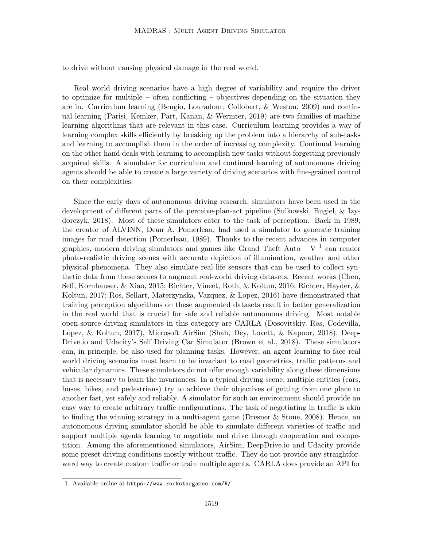to drive without causing physical damage in the real world.

Real world driving scenarios have a high degree of variability and require the driver to optimize for multiple – often conflicting – objectives depending on the situation they are in. Curriculum learning (Bengio, Louradour, Collobert, & Weston, 2009) and continual learning (Parisi, Kemker, Part, Kanan, & Wermter, 2019) are two families of machine learning algorithms that are relevant in this case. Curriculum learning provides a way of learning complex skills efficiently by breaking up the problem into a hierarchy of sub-tasks and learning to accomplish them in the order of increasing complexity. Continual learning on the other hand deals with learning to accomplish new tasks without forgetting previously acquired skills. A simulator for curriculum and continual learning of autonomous driving agents should be able to create a large variety of driving scenarios with fine-grained control on their complexities.

Since the early days of autonomous driving research, simulators have been used in the development of different parts of the perceive-plan-act pipeline (Sulkowski, Bugiel, & Izydorczyk, 2018). Most of these simulators cater to the task of perception. Back in 1989, the creator of ALVINN, Dean A. Pomerleau, had used a simulator to generate training images for road detection (Pomerleau, 1989). Thanks to the recent advances in computer graphics, modern driving simulators and games like Grand Theft Auto –  $V^{-1}$  can render photo-realistic driving scenes with accurate depiction of illumination, weather and other physical phenomena. They also simulate real-life sensors that can be used to collect synthetic data from these scenes to augment real-world driving datasets. Recent works (Chen, Seff, Kornhauser, & Xiao, 2015; Richter, Vineet, Roth, & Koltun, 2016; Richter, Hayder, & Koltun, 2017; Ros, Sellart, Materzynska, Vazquez, & Lopez, 2016) have demonstrated that training perception algorithms on these augmented datasets result in better generalization in the real world that is crucial for safe and reliable autonomous driving. Most notable open-source driving simulators in this category are CARLA (Dosovitskiy, Ros, Codevilla, Lopez, & Koltun, 2017), Microsoft AirSim (Shah, Dey, Lovett, & Kapoor, 2018), Deep-Drive.io and Udacity's Self Driving Car Simulator (Brown et al., 2018). These simulators can, in principle, be also used for planning tasks. However, an agent learning to face real world driving scenarios must learn to be invariant to road geometries, traffic patterns and vehicular dynamics. These simulators do not offer enough variability along these dimensions that is necessary to learn the invariances. In a typical driving scene, multiple entities (cars, buses, bikes, and pedestrians) try to achieve their objectives of getting from one place to another fast, yet safely and reliably. A simulator for such an environment should provide an easy way to create arbitrary traffic configurations. The task of negotiating in traffic is akin to finding the winning strategy in a multi-agent game (Dresner & Stone, 2008). Hence, an autonomous driving simulator should be able to simulate different varieties of traffic and support multiple agents learning to negotiate and drive through cooperation and competition. Among the aforementioned simulators, AirSim, DeepDrive.io and Udacity provide some preset driving conditions mostly without traffic. They do not provide any straightforward way to create custom traffic or train multiple agents. CARLA does provide an API for

<sup>1.</sup> Available online at https://www.rockstargames.com/V/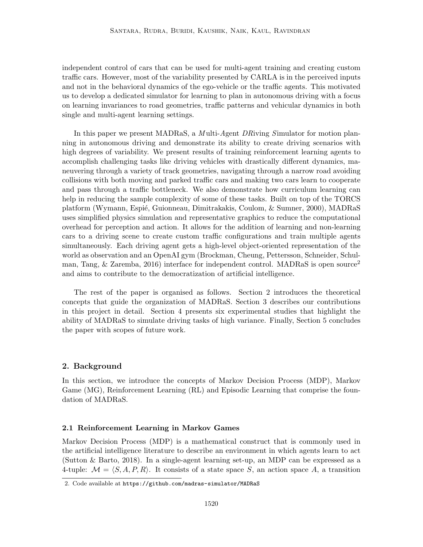independent control of cars that can be used for multi-agent training and creating custom traffic cars. However, most of the variability presented by CARLA is in the perceived inputs and not in the behavioral dynamics of the ego-vehicle or the traffic agents. This motivated us to develop a dedicated simulator for learning to plan in autonomous driving with a focus on learning invariances to road geometries, traffic patterns and vehicular dynamics in both single and multi-agent learning settings.

In this paper we present MADRaS, a *M* ulti-*A*gent *DR*iving *S*imulator for motion planning in autonomous driving and demonstrate its ability to create driving scenarios with high degrees of variability. We present results of training reinforcement learning agents to accomplish challenging tasks like driving vehicles with drastically different dynamics, maneuvering through a variety of track geometries, navigating through a narrow road avoiding collisions with both moving and parked traffic cars and making two cars learn to cooperate and pass through a traffic bottleneck. We also demonstrate how curriculum learning can help in reducing the sample complexity of some of these tasks. Built on top of the TORCS platform (Wymann, Espié, Guionneau, Dimitrakakis, Coulom, & Sumner, 2000), MADRaS uses simplified physics simulation and representative graphics to reduce the computational overhead for perception and action. It allows for the addition of learning and non-learning cars to a driving scene to create custom traffic configurations and train multiple agents simultaneously. Each driving agent gets a high-level object-oriented representation of the world as observation and an OpenAI gym (Brockman, Cheung, Pettersson, Schneider, Schulman, Tang,  $\&$  Zaremba, 2016) interface for independent control. MADRaS is open source<sup>2</sup> and aims to contribute to the democratization of artificial intelligence.

The rest of the paper is organised as follows. Section 2 introduces the theoretical concepts that guide the organization of MADRaS. Section 3 describes our contributions in this project in detail. Section 4 presents six experimental studies that highlight the ability of MADRaS to simulate driving tasks of high variance. Finally, Section 5 concludes the paper with scopes of future work.

#### 2. Background

In this section, we introduce the concepts of Markov Decision Process (MDP), Markov Game (MG), Reinforcement Learning (RL) and Episodic Learning that comprise the foundation of MADRaS.

#### 2.1 Reinforcement Learning in Markov Games

Markov Decision Process (MDP) is a mathematical construct that is commonly used in the artificial intelligence literature to describe an environment in which agents learn to act (Sutton & Barto, 2018). In a single-agent learning set-up, an MDP can be expressed as a 4-tuple:  $\mathcal{M} = \langle S, A, P, R \rangle$ . It consists of a state space S, an action space A, a transition

<sup>2.</sup> Code available at https://github.com/madras-simulator/MADRaS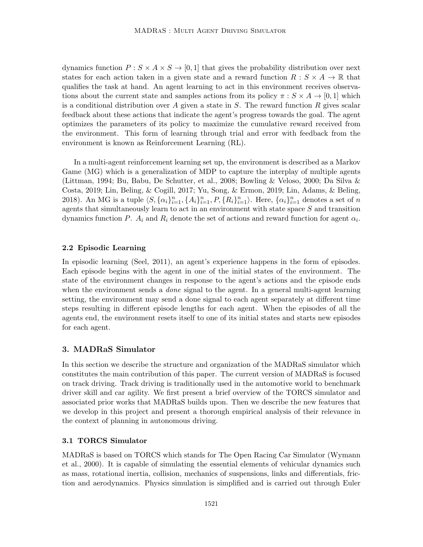dynamics function  $P: S \times A \times S \rightarrow [0, 1]$  that gives the probability distribution over next states for each action taken in a given state and a reward function  $R : S \times A \rightarrow \mathbb{R}$  that qualifies the task at hand. An agent learning to act in this environment receives observations about the current state and samples actions from its policy  $\pi : S \times A \rightarrow [0,1]$  which is a conditional distribution over A given a state in  $S$ . The reward function  $R$  gives scalar feedback about these actions that indicate the agent's progress towards the goal. The agent optimizes the parameters of its policy to maximize the cumulative reward received from the environment. This form of learning through trial and error with feedback from the environment is known as Reinforcement Learning (RL).

In a multi-agent reinforcement learning set up, the environment is described as a Markov Game (MG) which is a generalization of MDP to capture the interplay of multiple agents (Littman, 1994; Bu, Babu, De Schutter, et al., 2008; Bowling & Veloso, 2000; Da Silva & Costa, 2019; Lin, Beling, & Cogill, 2017; Yu, Song, & Ermon, 2019; Lin, Adams, & Beling, 2018). An MG is a tuple  $\langle S, {\{\alpha_i\}}_{i=1}^n, \{A_i\}_{i=1}^n, P, \{R_i\}_{i=1}^n \rangle$ . Here,  $\{\alpha_i\}_{i=1}^n$  denotes a set of n agents that simultaneously learn to act in an environment with state space  $S$  and transition dynamics function P.  $A_i$  and  $R_i$  denote the set of actions and reward function for agent  $\alpha_i$ .

#### 2.2 Episodic Learning

In episodic learning (Seel, 2011), an agent's experience happens in the form of episodes. Each episode begins with the agent in one of the initial states of the environment. The state of the environment changes in response to the agent's actions and the episode ends when the environment sends a *done* signal to the agent. In a general multi-agent learning setting, the environment may send a done signal to each agent separately at different time steps resulting in different episode lengths for each agent. When the episodes of all the agents end, the environment resets itself to one of its initial states and starts new episodes for each agent.

### 3. MADRaS Simulator

In this section we describe the structure and organization of the MADRaS simulator which constitutes the main contribution of this paper. The current version of MADRaS is focused on track driving. Track driving is traditionally used in the automotive world to benchmark driver skill and car agility. We first present a brief overview of the TORCS simulator and associated prior works that MADRaS builds upon. Then we describe the new features that we develop in this project and present a thorough empirical analysis of their relevance in the context of planning in autonomous driving.

#### 3.1 TORCS Simulator

MADRaS is based on TORCS which stands for The Open Racing Car Simulator (Wymann et al., 2000). It is capable of simulating the essential elements of vehicular dynamics such as mass, rotational inertia, collision, mechanics of suspensions, links and differentials, friction and aerodynamics. Physics simulation is simplified and is carried out through Euler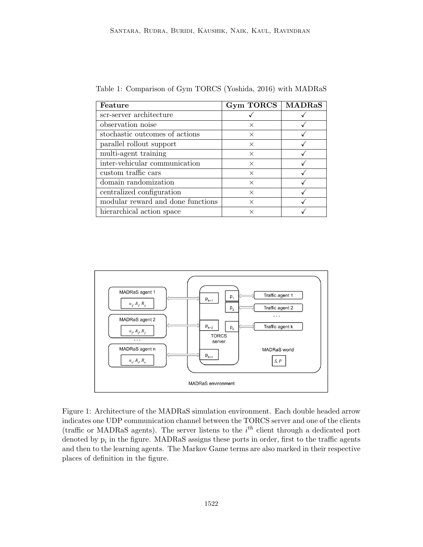| Feature                           | <b>Gym TORCS</b> | <b>MADRaS</b> |
|-----------------------------------|------------------|---------------|
| scr-server architecture           |                  |               |
| observation noise                 | X                |               |
| stochastic outcomes of actions    | X                |               |
| parallel rollout support          | $\times$         |               |
| multi-agent training              | $\times$         |               |
| inter-vehicular communication     | $\times$         |               |
| custom traffic cars               | $\times$         |               |
| domain randomization              | $\times$         |               |
| centralized configuration         | $\times$         |               |
| modular reward and done functions | $\times$         |               |
| hierarchical action space         | ×                |               |

Table 1: Comparison of Gym TORCS (Yoshida, 2016) with MADRaS



Figure 1: Architecture of the MADRaS simulation environment. Each double headed arrow indicates one UDP communication channel between the TORCS server and one of the clients (traffic or MADRaS agents). The server listens to the  $i<sup>th</sup>$  client through a dedicated port denoted by  $p_i$  in the figure. MADRaS assigns these ports in order, first to the traffic agents and then to the learning agents. The Markov Game terms are also marked in their respective places of definition in the figure.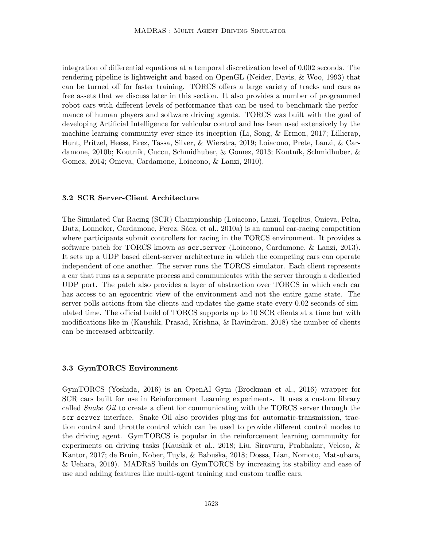integration of differential equations at a temporal discretization level of 0.002 seconds. The rendering pipeline is lightweight and based on OpenGL (Neider, Davis, & Woo, 1993) that can be turned off for faster training. TORCS offers a large variety of tracks and cars as free assets that we discuss later in this section. It also provides a number of programmed robot cars with different levels of performance that can be used to benchmark the performance of human players and software driving agents. TORCS was built with the goal of developing Artificial Intelligence for vehicular control and has been used extensively by the machine learning community ever since its inception (Li, Song, & Ermon, 2017; Lillicrap, Hunt, Pritzel, Heess, Erez, Tassa, Silver, & Wierstra, 2019; Loiacono, Prete, Lanzi, & Cardamone, 2010b; Koutník, Cuccu, Schmidhuber, & Gomez, 2013; Koutník, Schmidhuber, & Gomez, 2014; Onieva, Cardamone, Loiacono, & Lanzi, 2010).

#### 3.2 SCR Server-Client Architecture

The Simulated Car Racing (SCR) Championship (Loiacono, Lanzi, Togelius, Onieva, Pelta, Butz, Lonneker, Cardamone, Perez, Sáez, et al., 2010a) is an annual car-racing competition where participants submit controllers for racing in the TORCS environment. It provides a software patch for TORCS known as scr\_server (Loiacono, Cardamone, & Lanzi, 2013). It sets up a UDP based client-server architecture in which the competing cars can operate independent of one another. The server runs the TORCS simulator. Each client represents a car that runs as a separate process and communicates with the server through a dedicated UDP port. The patch also provides a layer of abstraction over TORCS in which each car has access to an egocentric view of the environment and not the entire game state. The server polls actions from the clients and updates the game-state every 0.02 seconds of simulated time. The official build of TORCS supports up to 10 SCR clients at a time but with modifications like in (Kaushik, Prasad, Krishna, & Ravindran, 2018) the number of clients can be increased arbitrarily.

#### 3.3 GymTORCS Environment

GymTORCS (Yoshida, 2016) is an OpenAI Gym (Brockman et al., 2016) wrapper for SCR cars built for use in Reinforcement Learning experiments. It uses a custom library called *Snake Oil* to create a client for communicating with the TORCS server through the scr server interface. Snake Oil also provides plug-ins for automatic-transmission, traction control and throttle control which can be used to provide different control modes to the driving agent. GymTORCS is popular in the reinforcement learning community for experiments on driving tasks (Kaushik et al., 2018; Liu, Siravuru, Prabhakar, Veloso, & Kantor, 2017; de Bruin, Kober, Tuyls, & Babuška, 2018; Dossa, Lian, Nomoto, Matsubara, & Uehara, 2019). MADRaS builds on GymTORCS by increasing its stability and ease of use and adding features like multi-agent training and custom traffic cars.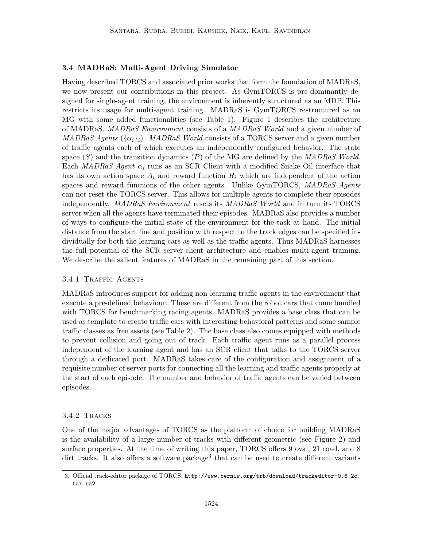### 3.4 MADRaS: Multi-Agent Driving Simulator

Having described TORCS and associated prior works that form the foundation of MADRaS, we now present our contributions in this project. As GymTORCS is pre-dominantly designed for single-agent training, the environment is inherently structured as an MDP. This restricts its usage for multi-agent training. MADRaS is GymTORCS restructured as an MG with some added functionalities (see Table 1). Figure 1 describes the architecture of MADRaS. *MADRaS Environment* consists of a *MADRaS World* and a given number of *MADRaS Agents* ( $\{\alpha_i\}_i$ ). *MADRaS World* consists of a TORCS server and a given number of traffic agents each of which executes an independently configured behavior. The state space (S) and the transition dynamics (P) of the MG are defined by the *MADRaS World*. Each *MADRaS Agent*  $\alpha_i$  runs as an SCR Client with a modified Snake Oil interface that has its own action space  $A_i$  and reward function  $R_i$  which are independent of the action spaces and reward functions of the other agents. Unlike GymTORCS, *MADRaS Agents* can not reset the TORCS server. This allows for multiple agents to complete their episodes independently. *MADRaS Environment* resets its *MADRaS World* and in turn its TORCS server when all the agents have terminated their episodes. MADRaS also provides a number of ways to configure the initial state of the environment for the task at hand. The initial distance from the start line and position with respect to the track edges can be specified individually for both the learning cars as well as the traffic agents. Thus MADRaS harnesses the full potential of the SCR server-client architecture and enables multi-agent training. We describe the salient features of MADRaS in the remaining part of this section.

### 3.4.1 Traffic Agents

MADRaS introduces support for adding non-learning traffic agents in the environment that execute a pre-defined behaviour. These are different from the robot cars that come bundled with TORCS for benchmarking racing agents. MADRaS provides a base class that can be used as template to create traffic cars with interesting behavioral patterns and some sample traffic classes as free assets (see Table 2). The base class also comes equipped with methods to prevent collision and going out of track. Each traffic agent runs as a parallel process independent of the learning agent and has an SCR client that talks to the TORCS server through a dedicated port. MADRaS takes care of the configuration and assignment of a requisite number of server ports for connecting all the learning and traffic agents properly at the start of each episode. The number and behavior of traffic agents can be varied between episodes.

#### 3.4.2 Tracks

One of the major advantages of TORCS as the platform of choice for building MADRaS is the availability of a large number of tracks with different geometric (see Figure 2) and surface properties. At the time of writing this paper, TORCS offers 9 oval, 21 road, and 8 dirt tracks. It also offers a software package<sup>3</sup> that can be used to create different variants

<sup>3.</sup> Official track-editor package of TORCS: http://www.berniw.org/trb/download/trackeditor-0.6.2c. tar.bz2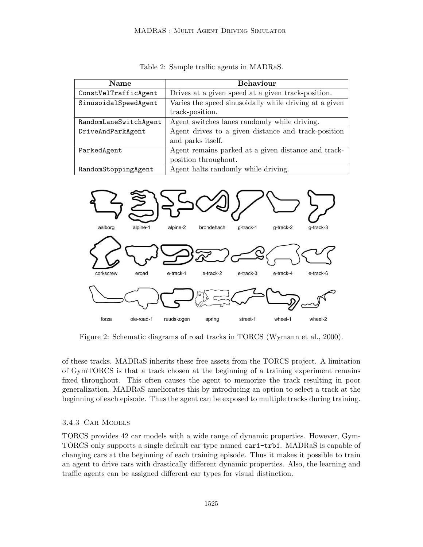| <b>Name</b>           | <b>Behaviour</b>                                       |
|-----------------------|--------------------------------------------------------|
| ConstVelTrafficAgent  | Drives at a given speed at a given track-position.     |
| SinusoidalSpeedAgent  | Varies the speed sinusoidally while driving at a given |
|                       | track-position.                                        |
| RandomLaneSwitchAgent | Agent switches lanes randomly while driving.           |
| DriveAndParkAgent     | Agent drives to a given distance and track-position    |
|                       | and parks itself.                                      |
| ParkedAgent           | Agent remains parked at a given distance and track-    |
|                       | position throughout.                                   |
| RandomStoppingAgent   | Agent halts randomly while driving.                    |

Table 2: Sample traffic agents in MADRaS.



Figure 2: Schematic diagrams of road tracks in TORCS (Wymann et al., 2000).

of these tracks. MADRaS inherits these free assets from the TORCS project. A limitation of GymTORCS is that a track chosen at the beginning of a training experiment remains fixed throughout. This often causes the agent to memorize the track resulting in poor generalization. MADRaS ameliorates this by introducing an option to select a track at the beginning of each episode. Thus the agent can be exposed to multiple tracks during training.

#### 3.4.3 Car Models

TORCS provides 42 car models with a wide range of dynamic properties. However, Gym-TORCS only supports a single default car type named car1-trb1. MADRaS is capable of changing cars at the beginning of each training episode. Thus it makes it possible to train an agent to drive cars with drastically different dynamic properties. Also, the learning and traffic agents can be assigned different car types for visual distinction.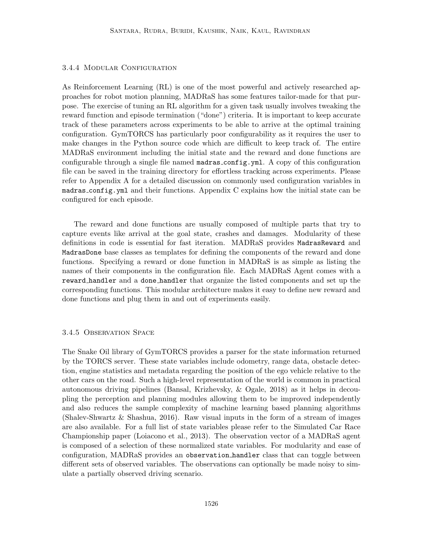### 3.4.4 Modular Configuration

As Reinforcement Learning (RL) is one of the most powerful and actively researched approaches for robot motion planning, MADRaS has some features tailor-made for that purpose. The exercise of tuning an RL algorithm for a given task usually involves tweaking the reward function and episode termination ("done") criteria. It is important to keep accurate track of these parameters across experiments to be able to arrive at the optimal training configuration. GymTORCS has particularly poor configurability as it requires the user to make changes in the Python source code which are difficult to keep track of. The entire MADRaS environment including the initial state and the reward and done functions are configurable through a single file named  $\texttt{madras.config.m1}.$  A copy of this configuration file can be saved in the training directory for effortless tracking across experiments. Please refer to Appendix A for a detailed discussion on commonly used configuration variables in madras config.yml and their functions. Appendix C explains how the initial state can be configured for each episode.

The reward and done functions are usually composed of multiple parts that try to capture events like arrival at the goal state, crashes and damages. Modularity of these definitions in code is essential for fast iteration. MADRaS provides MadrasReward and MadrasDone base classes as templates for defining the components of the reward and done functions. Specifying a reward or done function in MADRaS is as simple as listing the names of their components in the configuration file. Each MADRaS Agent comes with a reward handler and a done handler that organize the listed components and set up the corresponding functions. This modular architecture makes it easy to define new reward and done functions and plug them in and out of experiments easily.

#### 3.4.5 Observation Space

The Snake Oil library of GymTORCS provides a parser for the state information returned by the TORCS server. These state variables include odometry, range data, obstacle detection, engine statistics and metadata regarding the position of the ego vehicle relative to the other cars on the road. Such a high-level representation of the world is common in practical autonomous driving pipelines (Bansal, Krizhevsky, & Ogale, 2018) as it helps in decoupling the perception and planning modules allowing them to be improved independently and also reduces the sample complexity of machine learning based planning algorithms (Shalev-Shwartz & Shashua, 2016). Raw visual inputs in the form of a stream of images are also available. For a full list of state variables please refer to the Simulated Car Race Championship paper (Loiacono et al., 2013). The observation vector of a MADRaS agent is composed of a selection of these normalized state variables. For modularity and ease of configuration, MADRaS provides an observation handler class that can toggle between different sets of observed variables. The observations can optionally be made noisy to simulate a partially observed driving scenario.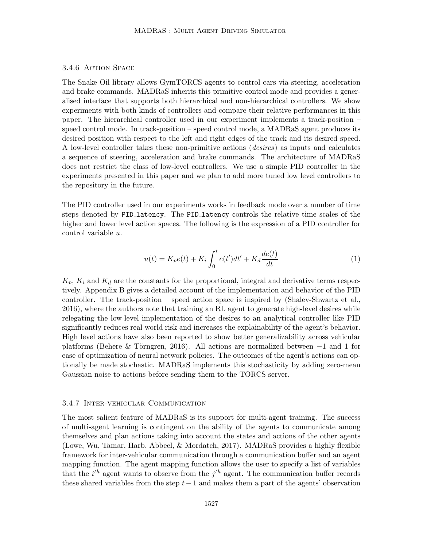### 3.4.6 Action Space

The Snake Oil library allows GymTORCS agents to control cars via steering, acceleration and brake commands. MADRaS inherits this primitive control mode and provides a generalised interface that supports both hierarchical and non-hierarchical controllers. We show experiments with both kinds of controllers and compare their relative performances in this paper. The hierarchical controller used in our experiment implements a track-position – speed control mode. In track-position – speed control mode, a MADRaS agent produces its desired position with respect to the left and right edges of the track and its desired speed. A low-level controller takes these non-primitive actions (*desires*) as inputs and calculates a sequence of steering, acceleration and brake commands. The architecture of MADRaS does not restrict the class of low-level controllers. We use a simple PID controller in the experiments presented in this paper and we plan to add more tuned low level controllers to the repository in the future.

The PID controller used in our experiments works in feedback mode over a number of time steps denoted by PID latency. The PID latency controls the relative time scales of the higher and lower level action spaces. The following is the expression of a PID controller for control variable u.

$$
u(t) = K_p e(t) + K_i \int_0^t e(t')dt' + K_d \frac{de(t)}{dt}
$$
 (1)

 $K_p$ ,  $K_i$  and  $K_d$  are the constants for the proportional, integral and derivative terms respectively. Appendix B gives a detailed account of the implementation and behavior of the PID controller. The track-position – speed action space is inspired by (Shalev-Shwartz et al., 2016), where the authors note that training an RL agent to generate high-level desires while relegating the low-level implementation of the desires to an analytical controller like PID significantly reduces real world risk and increases the explainability of the agent's behavior. High level actions have also been reported to show better generalizability across vehicular platforms (Behere & Törngren, 2016). All actions are normalized between  $-1$  and 1 for ease of optimization of neural network policies. The outcomes of the agent's actions can optionally be made stochastic. MADRaS implements this stochasticity by adding zero-mean Gaussian noise to actions before sending them to the TORCS server.

### 3.4.7 Inter-vehicular Communication

The most salient feature of MADRaS is its support for multi-agent training. The success of multi-agent learning is contingent on the ability of the agents to communicate among themselves and plan actions taking into account the states and actions of the other agents (Lowe, Wu, Tamar, Harb, Abbeel, & Mordatch, 2017). MADRaS provides a highly flexible framework for inter-vehicular communication through a communication buffer and an agent mapping function. The agent mapping function allows the user to specify a list of variables that the  $i^{th}$  agent wants to observe from the  $j^{th}$  agent. The communication buffer records these shared variables from the step  $t-1$  and makes them a part of the agents' observation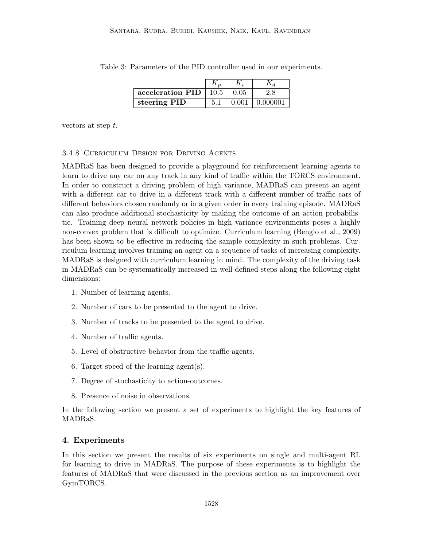| acceleration PID | 10.5 | 0.05  |          |
|------------------|------|-------|----------|
| steering PID     |      | 0.001 | 0.000001 |

Table 3: Parameters of the PID controller used in our experiments.

vectors at step t.

#### 3.4.8 Curriculum Design for Driving Agents

MADRaS has been designed to provide a playground for reinforcement learning agents to learn to drive any car on any track in any kind of traffic within the TORCS environment. In order to construct a driving problem of high variance, MADRaS can present an agent with a different car to drive in a different track with a different number of traffic cars of different behaviors chosen randomly or in a given order in every training episode. MADRaS can also produce additional stochasticity by making the outcome of an action probabilistic. Training deep neural network policies in high variance environments poses a highly non-convex problem that is difficult to optimize. Curriculum learning (Bengio et al., 2009) has been shown to be effective in reducing the sample complexity in such problems. Curriculum learning involves training an agent on a sequence of tasks of increasing complexity. MADRaS is designed with curriculum learning in mind. The complexity of the driving task in MADRaS can be systematically increased in well defined steps along the following eight dimensions:

- 1. Number of learning agents.
- 2. Number of cars to be presented to the agent to drive.
- 3. Number of tracks to be presented to the agent to drive.
- 4. Number of traffic agents.
- 5. Level of obstructive behavior from the traffic agents.
- 6. Target speed of the learning agent(s).
- 7. Degree of stochasticity to action-outcomes.
- 8. Presence of noise in observations.

In the following section we present a set of experiments to highlight the key features of MADRaS.

### 4. Experiments

In this section we present the results of six experiments on single and multi-agent RL for learning to drive in MADRaS. The purpose of these experiments is to highlight the features of MADRaS that were discussed in the previous section as an improvement over GymTORCS.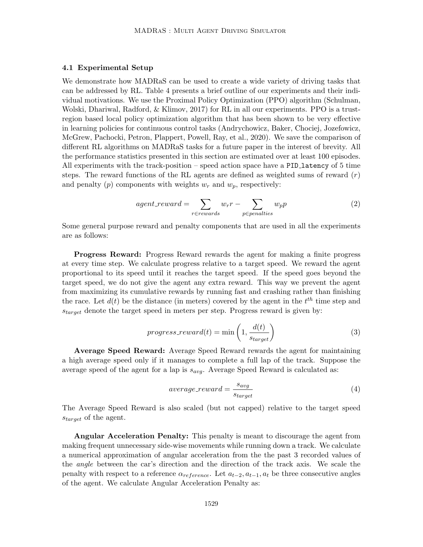#### 4.1 Experimental Setup

We demonstrate how MADRaS can be used to create a wide variety of driving tasks that can be addressed by RL. Table 4 presents a brief outline of our experiments and their individual motivations. We use the Proximal Policy Optimization (PPO) algorithm (Schulman, Wolski, Dhariwal, Radford, & Klimov, 2017) for RL in all our experiments. PPO is a trustregion based local policy optimization algorithm that has been shown to be very effective in learning policies for continuous control tasks (Andrychowicz, Baker, Chociej, Jozefowicz, McGrew, Pachocki, Petron, Plappert, Powell, Ray, et al., 2020). We save the comparison of different RL algorithms on MADRaS tasks for a future paper in the interest of brevity. All the performance statistics presented in this section are estimated over at least 100 episodes. All experiments with the track-position – speed action space have a PID latency of 5 time steps. The reward functions of the RL agents are defined as weighted sums of reward  $(r)$ and penalty (p) components with weights  $w_r$  and  $w_p$ , respectively:

$$
agent\_reward = \sum_{r \in rewards} w_r r - \sum_{p \in penalties} w_p p \tag{2}
$$

Some general purpose reward and penalty components that are used in all the experiments are as follows:

Progress Reward: Progress Reward rewards the agent for making a finite progress at every time step. We calculate progress relative to a target speed. We reward the agent proportional to its speed until it reaches the target speed. If the speed goes beyond the target speed, we do not give the agent any extra reward. This way we prevent the agent from maximizing its cumulative rewards by running fast and crashing rather than finishing the race. Let  $d(t)$  be the distance (in meters) covered by the agent in the  $t^{th}$  time step and  $s_{target}$  denote the target speed in meters per step. Progress reward is given by:

$$
progress\_reward(t) = \min\left(1, \frac{d(t)}{s_{target}}\right) \tag{3}
$$

Average Speed Reward: Average Speed Reward rewards the agent for maintaining a high average speed only if it manages to complete a full lap of the track. Suppose the average speed of the agent for a lap is  $s_{avg}$ . Average Speed Reward is calculated as:

$$
average\_reward = \frac{s_{avg}}{s_{target}} \tag{4}
$$

The Average Speed Reward is also scaled (but not capped) relative to the target speed  $s_{target}$  of the agent.

Angular Acceleration Penalty: This penalty is meant to discourage the agent from making frequent unnecessary side-wise movements while running down a track. We calculate a numerical approximation of angular acceleration from the the past 3 recorded values of the *angle* between the car's direction and the direction of the track axis. We scale the penalty with respect to a reference  $\alpha_{reference}$ . Let  $a_{t-2}, a_{t-1}, a_t$  be three consecutive angles of the agent. We calculate Angular Acceleration Penalty as: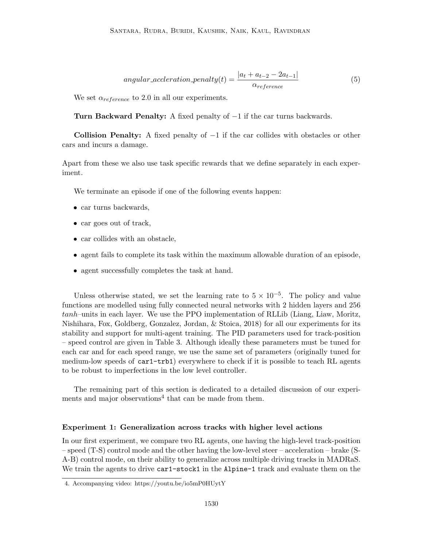angular-acceleration<sub>-penalty</sub>
$$
(t) = \frac{|a_t + a_{t-2} - 2a_{t-1}|}{\alpha_{reference}}
$$
 (5)

We set  $\alpha_{reference}$  to 2.0 in all our experiments.

Turn Backward Penalty: A fixed penalty of −1 if the car turns backwards.

**Collision Penalty:** A fixed penalty of  $-1$  if the car collides with obstacles or other cars and incurs a damage.

Apart from these we also use task specific rewards that we define separately in each experiment.

We terminate an episode if one of the following events happen:

- car turns backwards,
- car goes out of track,
- car collides with an obstacle,
- agent fails to complete its task within the maximum allowable duration of an episode,
- agent successfully completes the task at hand.

Unless otherwise stated, we set the learning rate to  $5 \times 10^{-5}$ . The policy and value functions are modelled using fully connected neural networks with 2 hidden layers and 256 tanh–units in each layer. We use the PPO implementation of RLLib (Liang, Liaw, Moritz, Nishihara, Fox, Goldberg, Gonzalez, Jordan, & Stoica, 2018) for all our experiments for its stability and support for multi-agent training. The PID parameters used for track-position – speed control are given in Table 3. Although ideally these parameters must be tuned for each car and for each speed range, we use the same set of parameters (originally tuned for medium-low speeds of car1-trb1) everywhere to check if it is possible to teach RL agents to be robust to imperfections in the low level controller.

The remaining part of this section is dedicated to a detailed discussion of our experiments and major observations<sup>4</sup> that can be made from them.

#### Experiment 1: Generalization across tracks with higher level actions

In our first experiment, we compare two RL agents, one having the high-level track-position – speed (T-S) control mode and the other having the low-level steer – acceleration – brake (S-A-B) control mode, on their ability to generalize across multiple driving tracks in MADRaS. We train the agents to drive car1-stock1 in the Alpine-1 track and evaluate them on the

<sup>4.</sup> Accompanying video: https://youtu.be/io5mP0HUytY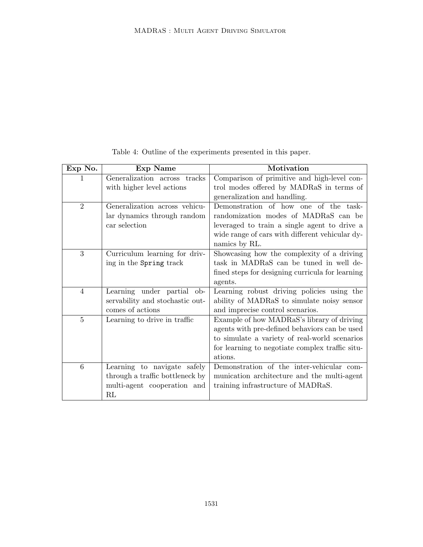| Exp No.                     | <b>Exp Name</b>                 | Motivation                                       |
|-----------------------------|---------------------------------|--------------------------------------------------|
| 1                           | Generalization across tracks    | Comparison of primitive and high-level con-      |
|                             | with higher level actions       | trol modes offered by MADRaS in terms of         |
|                             |                                 | generalization and handling.                     |
| $\mathcal{D}_{\mathcal{L}}$ | Generalization across vehicu-   | Demonstration of how one of the task-            |
|                             | lar dynamics through random     | randomization modes of MADRaS can be             |
|                             | car selection                   | leveraged to train a single agent to drive a     |
|                             |                                 | wide range of cars with different vehicular dy-  |
|                             |                                 | namics by RL.                                    |
| 3                           | Curriculum learning for driv-   | Showcasing how the complexity of a driving       |
|                             | ing in the Spring track         | task in MADRaS can be tuned in well de-          |
|                             |                                 | fined steps for designing curricula for learning |
|                             |                                 | agents.                                          |
| $\overline{4}$              | Learning under partial ob-      | Learning robust driving policies using the       |
|                             | servability and stochastic out- | ability of MADRaS to simulate noisy sensor       |
|                             | comes of actions                | and imprecise control scenarios.                 |
| $\overline{5}$              | Learning to drive in traffic    | Example of how MADRaS's library of driving       |
|                             |                                 | agents with pre-defined behaviors can be used    |
|                             |                                 | to simulate a variety of real-world scenarios    |
|                             |                                 | for learning to negotiate complex traffic situ-  |
|                             |                                 | ations.                                          |
| 6                           | Learning to navigate safely     | Demonstration of the inter-vehicular com-        |
|                             | through a traffic bottleneck by | munication architecture and the multi-agent      |
|                             | multi-agent cooperation and     | training infrastructure of MADRaS.               |
|                             | RL                              |                                                  |

Table 4: Outline of the experiments presented in this paper.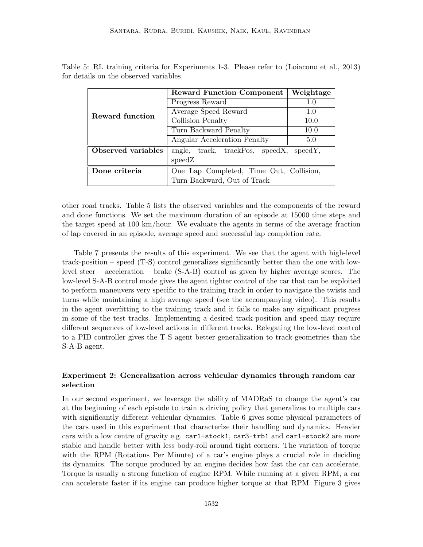|                    | <b>Reward Function Component</b>           | Weightage |  |  |  |
|--------------------|--------------------------------------------|-----------|--|--|--|
| Reward function    | Progress Reward                            | 1.0       |  |  |  |
|                    | Average Speed Reward                       | 1.0       |  |  |  |
|                    | Collision Penalty                          | 10.0      |  |  |  |
|                    | Turn Backward Penalty                      | 10.0      |  |  |  |
|                    | Angular Acceleration Penalty               | 5.0       |  |  |  |
| Observed variables | track, trackPos, speedX, speedY,<br>angle, |           |  |  |  |
|                    | speedZ                                     |           |  |  |  |
| Done criteria      | One Lap Completed, Time Out, Collision,    |           |  |  |  |
|                    | Turn Backward, Out of Track                |           |  |  |  |

Table 5: RL training criteria for Experiments 1-3. Please refer to (Loiacono et al., 2013) for details on the observed variables.

other road tracks. Table 5 lists the observed variables and the components of the reward and done functions. We set the maximum duration of an episode at 15000 time steps and the target speed at 100 km/hour. We evaluate the agents in terms of the average fraction of lap covered in an episode, average speed and successful lap completion rate.

Table 7 presents the results of this experiment. We see that the agent with high-level track-position – speed (T-S) control generalizes significantly better than the one with lowlevel steer – acceleration – brake (S-A-B) control as given by higher average scores. The low-level S-A-B control mode gives the agent tighter control of the car that can be exploited to perform maneuvers very specific to the training track in order to navigate the twists and turns while maintaining a high average speed (see the accompanying video). This results in the agent overfitting to the training track and it fails to make any significant progress in some of the test tracks. Implementing a desired track-position and speed may require different sequences of low-level actions in different tracks. Relegating the low-level control to a PID controller gives the T-S agent better generalization to track-geometries than the S-A-B agent.

# Experiment 2: Generalization across vehicular dynamics through random car selection

In our second experiment, we leverage the ability of MADRaS to change the agent's car at the beginning of each episode to train a driving policy that generalizes to multiple cars with significantly different vehicular dynamics. Table 6 gives some physical parameters of the cars used in this experiment that characterize their handling and dynamics. Heavier cars with a low centre of gravity e.g. car1-stock1, car3-trb1 and car1-stock2 are more stable and handle better with less body-roll around tight corners. The variation of torque with the RPM (Rotations Per Minute) of a car's engine plays a crucial role in deciding its dynamics. The torque produced by an engine decides how fast the car can accelerate. Torque is usually a strong function of engine RPM. While running at a given RPM, a car can accelerate faster if its engine can produce higher torque at that RPM. Figure 3 gives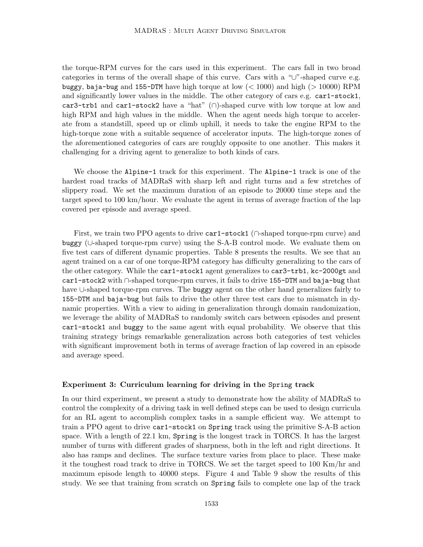the torque-RPM curves for the cars used in this experiment. The cars fall in two broad categories in terms of the overall shape of this curve. Cars with a "∪"-shaped curve e.g. buggy, baja-bug and 155-DTM have high torque at low  $(< 1000$ ) and high  $(> 10000)$  RPM and significantly lower values in the middle. The other category of cars e.g. car1-stock1, car3-trb1 and car1-stock2 have a "hat" (∩)-shaped curve with low torque at low and high RPM and high values in the middle. When the agent needs high torque to accelerate from a standstill, speed up or climb uphill, it needs to take the engine RPM to the high-torque zone with a suitable sequence of accelerator inputs. The high-torque zones of the aforementioned categories of cars are roughly opposite to one another. This makes it challenging for a driving agent to generalize to both kinds of cars.

We choose the Alpine-1 track for this experiment. The Alpine-1 track is one of the hardest road tracks of MADRaS with sharp left and right turns and a few stretches of slippery road. We set the maximum duration of an episode to 20000 time steps and the target speed to 100 km/hour. We evaluate the agent in terms of average fraction of the lap covered per episode and average speed.

First, we train two PPO agents to drive car1-stock1 (∩-shaped torque-rpm curve) and buggy (∪-shaped torque-rpm curve) using the S-A-B control mode. We evaluate them on five test cars of different dynamic properties. Table 8 presents the results. We see that an agent trained on a car of one torque-RPM category has difficulty generalizing to the cars of the other category. While the car1-stock1 agent generalizes to car3-trb1, kc-2000gt and car1-stock2 with ∩-shaped torque-rpm curves, it fails to drive 155-DTM and baja-bug that have ∪-shaped torque-rpm curves. The buggy agent on the other hand generalizes fairly to 155-DTM and baja-bug but fails to drive the other three test cars due to mismatch in dynamic properties. With a view to aiding in generalization through domain randomization, we leverage the ability of MADRaS to randomly switch cars between episodes and present car1-stock1 and buggy to the same agent with equal probability. We observe that this training strategy brings remarkable generalization across both categories of test vehicles with significant improvement both in terms of average fraction of lap covered in an episode and average speed.

#### Experiment 3: Curriculum learning for driving in the Spring track

In our third experiment, we present a study to demonstrate how the ability of MADRaS to control the complexity of a driving task in well defined steps can be used to design curricula for an RL agent to accomplish complex tasks in a sample efficient way. We attempt to train a PPO agent to drive car1-stock1 on Spring track using the primitive S-A-B action space. With a length of 22.1 km, Spring is the longest track in TORCS. It has the largest number of turns with different grades of sharpness, both in the left and right directions. It also has ramps and declines. The surface texture varies from place to place. These make it the toughest road track to drive in TORCS. We set the target speed to 100 Km/hr and maximum episode length to 40000 steps. Figure 4 and Table 9 show the results of this study. We see that training from scratch on Spring fails to complete one lap of the track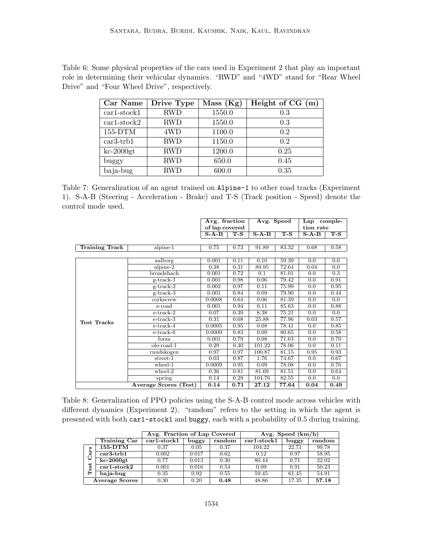Table 6: Some physical properties of the cars used in Experiment 2 that play an important role in determining their vehicular dynamics. "RWD" and "4WD" stand for "Rear Wheel Drive" and "Four Wheel Drive", respectively.

| Car Name          | Drive Type | Mass (Kg) | Height of CG (m) |
|-------------------|------------|-----------|------------------|
| $car1-stock1$     | <b>RWD</b> | 1550.0    | 0.3              |
| $car1$ -stock $2$ | <b>RWD</b> | 1550.0    | 0.3              |
| $155-DTM$         | 4WD        | 1100.0    | 0.2              |
| $car3-trb1$       | <b>RWD</b> | 1150.0    | 0.2              |
| $kc-2000gt$       | <b>RWD</b> | 1200.0    | 0.25             |
| buggy             | <b>RWD</b> | 650.0     | 0.45             |
| baja-bug          | <b>RWD</b> | 600.0     | 0.35             |

Table 7: Generalization of an agent trained on Alpine-1 to other road tracks (Experiment 1). S-A-B (Steering - Acceleration - Brake) and T-S (Track position - Speed) denote the control mode used.

|                       |                       | Avg. fraction |                  | Avg. Speed |                  | Lap comple- |                  |
|-----------------------|-----------------------|---------------|------------------|------------|------------------|-------------|------------------|
|                       |                       |               | of lap covered   |            |                  | tion rate   |                  |
|                       |                       | $S-A-B$       | $\overline{T-S}$ | $S-A-B$    | $\overline{T-S}$ | $S-A-B$     | $\overline{T-S}$ |
|                       |                       |               |                  |            |                  |             |                  |
| <b>Training Track</b> | $alpine-1$            | 0.75          | 0.73             | 91.89      | 83.32            | 0.68        | 0.58             |
|                       |                       |               |                  |            |                  |             |                  |
|                       | aalborg               | 0.001         | 0.11             | 0.10       | 59.39            | 0.0         | 0.0              |
|                       | $alpine-2$            | 0.38          | 0.31             | 89.95      | 72.64            | 0.04        | 0.0              |
|                       | brondehach            | 0.001         | 0.72             | 0.1        | 81.01            | 0.0         | 0.3              |
|                       | $g$ -track-1          | 0.001         | 0.98             | 0.06       | 79.42            | 0.0         | 0.91             |
|                       | $g$ -track-2          | 0.002         | 0.97             | 0.11       | 75.99            | 0.0         | 0.95             |
|                       | $g$ -track-3          | 0.001         | 0.84             | 0.09       | 79.90            | 0.0         | 0.44             |
|                       | corkscrew             | 0.0008        | 0.64             | 0.06       | 81.39            | 0.0         | 0.0              |
|                       | e-road                | 0.001         | 0.94             | 0.11       | 85.63            | 0.0         | 0.88             |
|                       | $e$ -track-2          | 0.07          | 0.39             | 8.38       | 75.21            | 0.0         | 0.0              |
| <b>Test Tracks</b>    | e-track-3             | 0.31          | 0.68             | 25.88      | 77.96            | 0.03        | 0.57             |
|                       | $e$ -track-4          | 0.0005        | 0.95             | 0.08       | 78.41            | 0.0         | 0.85             |
|                       | $e$ -track- $6$       | 0.0009        | 0.83             | 0.09       | 80.65            | 0.0         | 0.58             |
|                       | forza                 | 0.001         | 0.79             | 0.08       | 71.63            | 0.0         | 0.70             |
|                       | $ole$ -road- $1$      | 0.29          | 0.40             | 101.22     | 78.06            | 0.0         | 0.11             |
|                       | ruudskogen            | 0.97          | 0.97             | 100.87     | 81.15            | 0.95        | 0.93             |
|                       | $street-1$            | 0.03          | 0.87             | 1.76       | 74.67            | 0.0         | 0.67             |
|                       | $wherel-1$            | 0.0009        | 0.95             | 0.09       | 78.08            | 0.0         | 0.76             |
|                       | $wheel-2$             | 0.36          | 0.81             | 81.69      | 81.51            | 0.0         | 0.64             |
|                       | spring                | 0.14          | 0.29             | 104.76     | 82.55            | 0.0         | 0.0              |
|                       | Average Scores (Test) | 0.14          | 0.71             | 27.12      | 77.64            | 0.04        | 0.49             |

Table 8: Generalization of PPO policies using the S-A-B control mode across vehicles with different dynamics (Experiment 2). "random" refers to the setting in which the agent is presented with both car1-stock1 and buggy, each with a probability of 0.5 during training.

|     |                       | Avg. Fraction of Lap Covered |       |        |                 | Avg. Speed (km/h) |        |
|-----|-----------------------|------------------------------|-------|--------|-----------------|-------------------|--------|
|     | Training Car          | $car1 - stock1$              | buggy | random | $car1 - stock1$ | buggy             | random |
|     | 155-DTM               | 0.37                         | 0.05  | 0.37   | 104.22          | 22.71             | 99.78  |
| σ   | $car3-trb1$           | 0.002                        | 0.017 | 0.62   | 0.12            | 0.97              | 58.95  |
|     | $kc-2000gt$           | 0.77                         | 0.013 | 0.30   | 80.44           | 0.71              | 22.02  |
| est | $car1 - stock2$       | 0.001                        | 0.016 | 0.54   | 0.09            | 0.91              | 50.23  |
|     | baja-bug              | 0.35                         | 0.92  | 0.55   | 59.45           | 61.45             | 54.91  |
|     | <b>Average Scores</b> | 0.30                         | 0.20  | 0.48   | 48.86           | 17.35             | 57.18  |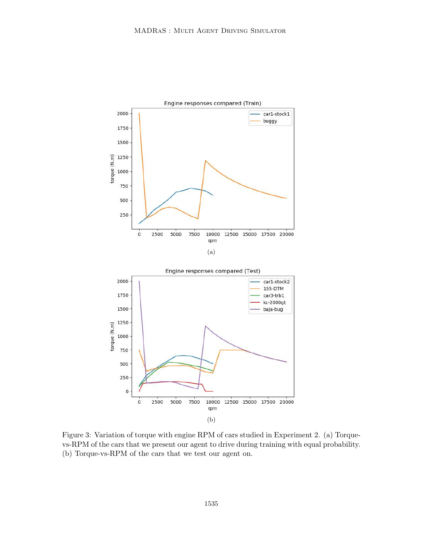

Figure 3: Variation of torque with engine RPM of cars studied in Experiment 2. (a) Torquevs-RPM of the cars that we present our agent to drive during training with equal probability. (b) Torque-vs-RPM of the cars that we test our agent on.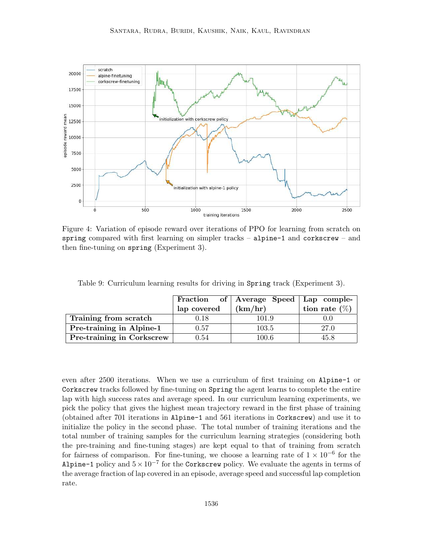

Figure 4: Variation of episode reward over iterations of PPO for learning from scratch on spring compared with first learning on simpler tracks – alpine-1 and corkscrew – and then fine-tuning on spring (Experiment 3).

|                           |             | Fraction of   Average Speed   Lap comple- |                  |
|---------------------------|-------------|-------------------------------------------|------------------|
|                           | lap covered | (km/hr)                                   | tion rate $(\%)$ |
| Training from scratch     | 0.18        | 101.9                                     | 0.0              |
| Pre-training in Alpine-1  | 0.57        | 103.5                                     | 27.0             |
| Pre-training in Corkscrew | 0.54        | $100.6\,$                                 | 45.8             |

Table 9: Curriculum learning results for driving in Spring track (Experiment 3).

even after 2500 iterations. When we use a curriculum of first training on Alpine-1 or Corkscrew tracks followed by fine-tuning on Spring the agent learns to complete the entire lap with high success rates and average speed. In our curriculum learning experiments, we pick the policy that gives the highest mean trajectory reward in the first phase of training (obtained after 701 iterations in Alpine-1 and 561 iterations in Corkscrew) and use it to initialize the policy in the second phase. The total number of training iterations and the total number of training samples for the curriculum learning strategies (considering both the pre-training and fine-tuning stages) are kept equal to that of training from scratch for fairness of comparison. For fine-tuning, we choose a learning rate of  $1 \times 10^{-6}$  for the Alpine-1 policy and  $5 \times 10^{-7}$  for the Corkscrew policy. We evaluate the agents in terms of the average fraction of lap covered in an episode, average speed and successful lap completion rate.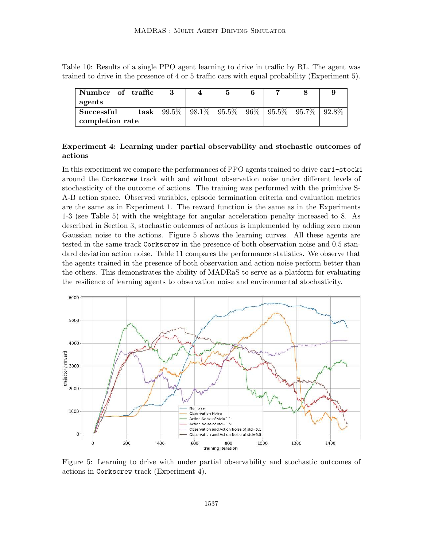Table 10: Results of a single PPO agent learning to drive in traffic by RL. The agent was trained to drive in the presence of 4 or 5 traffic cars with equal probability (Experiment 5).

| Number of traffic |                 | Ð                                                                |  |          |
|-------------------|-----------------|------------------------------------------------------------------|--|----------|
| agents            |                 |                                                                  |  |          |
| Successful        | task   $99.5\%$ | $\mid 98.1\% \mid 95.5\% \mid 96\% \mid 95.5\% \mid 95.7\% \mid$ |  | $92.8\%$ |
| completion rate   |                 |                                                                  |  |          |

# Experiment 4: Learning under partial observability and stochastic outcomes of actions

In this experiment we compare the performances of PPO agents trained to drive car1-stock1 around the Corkscrew track with and without observation noise under different levels of stochasticity of the outcome of actions. The training was performed with the primitive S-A-B action space. Observed variables, episode termination criteria and evaluation metrics are the same as in Experiment 1. The reward function is the same as in the Experiments 1-3 (see Table 5) with the weightage for angular acceleration penalty increased to 8. As described in Section 3, stochastic outcomes of actions is implemented by adding zero mean Gaussian noise to the actions. Figure 5 shows the learning curves. All these agents are tested in the same track Corkscrew in the presence of both observation noise and 0.5 standard deviation action noise. Table 11 compares the performance statistics. We observe that the agents trained in the presence of both observation and action noise perform better than the others. This demonstrates the ability of MADRaS to serve as a platform for evaluating the resilience of learning agents to observation noise and environmental stochasticity.



Figure 5: Learning to drive with under partial observability and stochastic outcomes of actions in Corkscrew track (Experiment 4).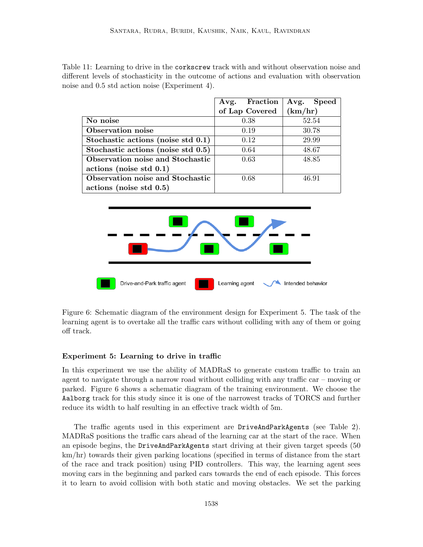Table 11: Learning to drive in the corkscrew track with and without observation noise and different levels of stochasticity in the outcome of actions and evaluation with observation noise and 0.5 std action noise (Experiment 4).

|                                    | Avg. Fraction  | Avg. Speed |
|------------------------------------|----------------|------------|
|                                    | of Lap Covered | (km/hr)    |
| No noise                           | 0.38           | 52.54      |
| Observation noise                  | 0.19           | 30.78      |
| Stochastic actions (noise std 0.1) | 0.12           | 29.99      |
| Stochastic actions (noise std 0.5) | 0.64           | 48.67      |
| Observation noise and Stochastic   | 0.63           | 48.85      |
| actions (noise std 0.1)            |                |            |
| Observation noise and Stochastic   | 0.68           | 46.91      |
| actions (noise std 0.5)            |                |            |



Figure 6: Schematic diagram of the environment design for Experiment 5. The task of the learning agent is to overtake all the traffic cars without colliding with any of them or going off track.

#### Experiment 5: Learning to drive in traffic

In this experiment we use the ability of MADRaS to generate custom traffic to train an agent to navigate through a narrow road without colliding with any traffic car – moving or parked. Figure 6 shows a schematic diagram of the training environment. We choose the Aalborg track for this study since it is one of the narrowest tracks of TORCS and further reduce its width to half resulting in an effective track width of 5m.

The traffic agents used in this experiment are DriveAndParkAgents (see Table 2). MADRaS positions the traffic cars ahead of the learning car at the start of the race. When an episode begins, the DriveAndParkAgents start driving at their given target speeds (50 km/hr) towards their given parking locations (specified in terms of distance from the start of the race and track position) using PID controllers. This way, the learning agent sees moving cars in the beginning and parked cars towards the end of each episode. This forces it to learn to avoid collision with both static and moving obstacles. We set the parking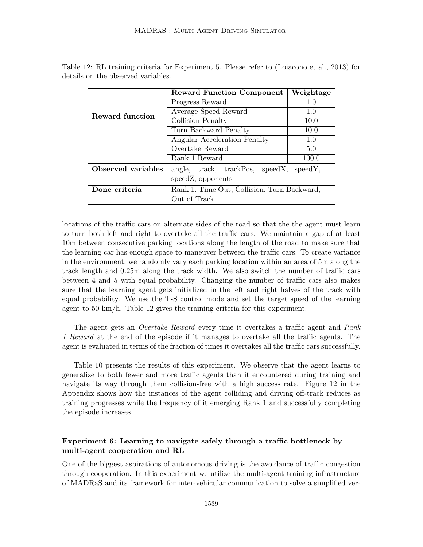|                    | <b>Reward Function Component</b>            | Weightage |  |  |  |
|--------------------|---------------------------------------------|-----------|--|--|--|
| Reward function    | Progress Reward                             | 1.0       |  |  |  |
|                    | Average Speed Reward                        | 1.0       |  |  |  |
|                    | Collision Penalty                           | 10.0      |  |  |  |
|                    | Turn Backward Penalty                       | 10.0      |  |  |  |
|                    | Angular Acceleration Penalty                | 1.0       |  |  |  |
|                    | Overtake Reward                             | 5.0       |  |  |  |
|                    | Rank 1 Reward                               | 100.0     |  |  |  |
| Observed variables | angle, track, trackPos, speedX, speedY,     |           |  |  |  |
|                    | speed Z, opponents                          |           |  |  |  |
| Done criteria      | Rank 1, Time Out, Collision, Turn Backward, |           |  |  |  |
|                    | Out of Track                                |           |  |  |  |

Table 12: RL training criteria for Experiment 5. Please refer to (Loiacono et al., 2013) for details on the observed variables.

locations of the traffic cars on alternate sides of the road so that the the agent must learn to turn both left and right to overtake all the traffic cars. We maintain a gap of at least 10m between consecutive parking locations along the length of the road to make sure that the learning car has enough space to maneuver between the traffic cars. To create variance in the environment, we randomly vary each parking location within an area of 5m along the track length and 0.25m along the track width. We also switch the number of traffic cars between 4 and 5 with equal probability. Changing the number of traffic cars also makes sure that the learning agent gets initialized in the left and right halves of the track with equal probability. We use the T-S control mode and set the target speed of the learning agent to 50 km/h. Table 12 gives the training criteria for this experiment.

The agent gets an *Overtake Reward* every time it overtakes a traffic agent and *Rank 1 Reward* at the end of the episode if it manages to overtake all the traffic agents. The agent is evaluated in terms of the fraction of times it overtakes all the traffic cars successfully.

Table 10 presents the results of this experiment. We observe that the agent learns to generalize to both fewer and more traffic agents than it encountered during training and navigate its way through them collision-free with a high success rate. Figure 12 in the Appendix shows how the instances of the agent colliding and driving off-track reduces as training progresses while the frequency of it emerging Rank 1 and successfully completing the episode increases.

# Experiment 6: Learning to navigate safely through a traffic bottleneck by multi-agent cooperation and RL

One of the biggest aspirations of autonomous driving is the avoidance of traffic congestion through cooperation. In this experiment we utilize the multi-agent training infrastructure of MADRaS and its framework for inter-vehicular communication to solve a simplified ver-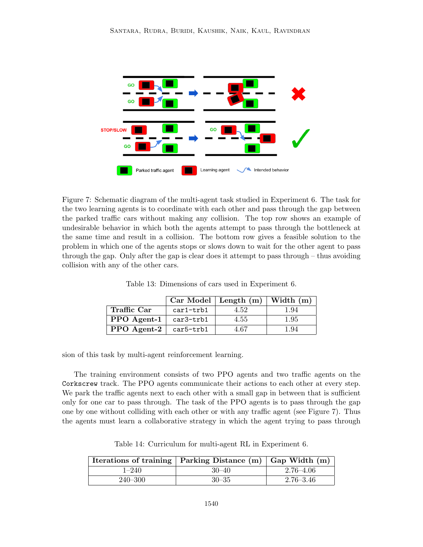

Figure 7: Schematic diagram of the multi-agent task studied in Experiment 6. The task for the two learning agents is to coordinate with each other and pass through the gap between the parked traffic cars without making any collision. The top row shows an example of undesirable behavior in which both the agents attempt to pass through the bottleneck at the same time and result in a collision. The bottom row gives a feasible solution to the problem in which one of the agents stops or slows down to wait for the other agent to pass through the gap. Only after the gap is clear does it attempt to pass through – thus avoiding collision with any of the other cars.

|                                 |             | $\mid$ Car Model   Length (m)   Width (m) |      |
|---------------------------------|-------------|-------------------------------------------|------|
| Traffic Car                     | $car1-trb1$ | 4.52                                      | 1.94 |
| $PPO$ Agent-1 $\vert$ car3-trb1 |             | 4.55                                      | 1.95 |
| PPO Agent-2 $\vert$ car5-trb1   |             | 4.67                                      | 1.94 |

Table 13: Dimensions of cars used in Experiment 6.

sion of this task by multi-agent reinforcement learning.

The training environment consists of two PPO agents and two traffic agents on the Corkscrew track. The PPO agents communicate their actions to each other at every step. We park the traffic agents next to each other with a small gap in between that is sufficient only for one car to pass through. The task of the PPO agents is to pass through the gap one by one without colliding with each other or with any traffic agent (see Figure 7). Thus the agents must learn a collaborative strategy in which the agent trying to pass through

Iterations of training Parking Distance  $(m)$  Gap Width  $(m)$ 1–240 30–40 2.76–4.06 240–300 30–35 2.76–3.46

Table 14: Curriculum for multi-agent RL in Experiment 6.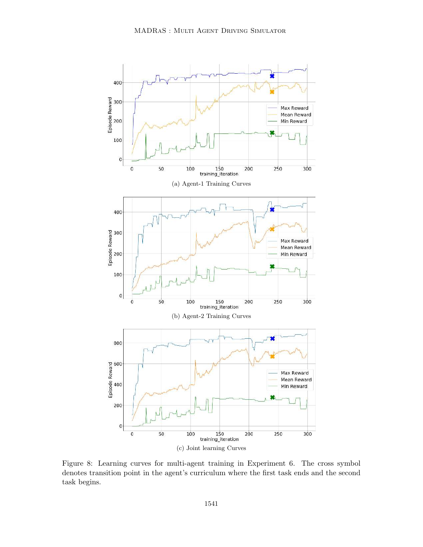

Figure 8: Learning curves for multi-agent training in Experiment 6. The cross symbol denotes transition point in the agent's curriculum where the first task ends and the second task begins.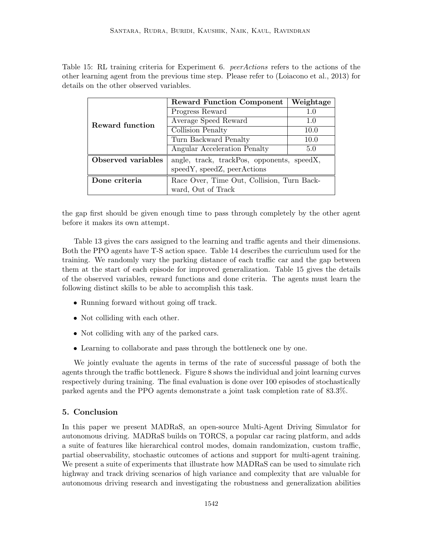Table 15: RL training criteria for Experiment 6. *peerActions* refers to the actions of the other learning agent from the previous time step. Please refer to (Loiacono et al., 2013) for details on the other observed variables.

|                    | <b>Reward Function Component</b>           | Weightage |
|--------------------|--------------------------------------------|-----------|
| Reward function    | Progress Reward                            | 1.0       |
|                    | Average Speed Reward                       | 1.0       |
|                    | Collision Penalty                          | 10.0      |
|                    | Turn Backward Penalty                      | 10.0      |
|                    | Angular Acceleration Penalty               | 5.0       |
| Observed variables | angle, track, trackPos, opponents, speedX, |           |
|                    | speedY, speedZ, peerActions                |           |
| Done criteria      | Race Over, Time Out, Collision, Turn Back- |           |
|                    | ward, Out of Track                         |           |

the gap first should be given enough time to pass through completely by the other agent before it makes its own attempt.

Table 13 gives the cars assigned to the learning and traffic agents and their dimensions. Both the PPO agents have T-S action space. Table 14 describes the curriculum used for the training. We randomly vary the parking distance of each traffic car and the gap between them at the start of each episode for improved generalization. Table 15 gives the details of the observed variables, reward functions and done criteria. The agents must learn the following distinct skills to be able to accomplish this task.

- Running forward without going off track.
- Not colliding with each other.
- Not colliding with any of the parked cars.
- Learning to collaborate and pass through the bottleneck one by one.

We jointly evaluate the agents in terms of the rate of successful passage of both the agents through the traffic bottleneck. Figure 8 shows the individual and joint learning curves respectively during training. The final evaluation is done over 100 episodes of stochastically parked agents and the PPO agents demonstrate a joint task completion rate of 83.3%.

### 5. Conclusion

In this paper we present MADRaS, an open-source Multi-Agent Driving Simulator for autonomous driving. MADRaS builds on TORCS, a popular car racing platform, and adds a suite of features like hierarchical control modes, domain randomization, custom traffic, partial observability, stochastic outcomes of actions and support for multi-agent training. We present a suite of experiments that illustrate how MADRaS can be used to simulate rich highway and track driving scenarios of high variance and complexity that are valuable for autonomous driving research and investigating the robustness and generalization abilities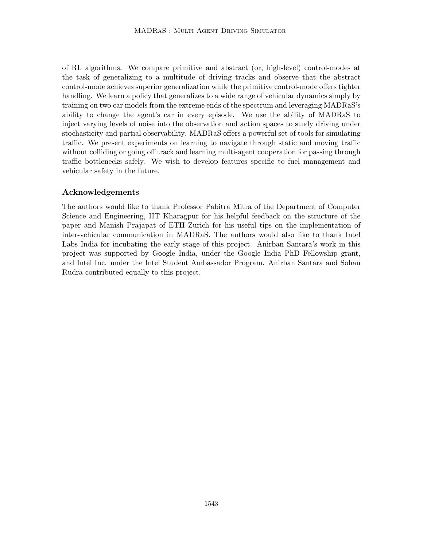of RL algorithms. We compare primitive and abstract (or, high-level) control-modes at the task of generalizing to a multitude of driving tracks and observe that the abstract control-mode achieves superior generalization while the primitive control-mode offers tighter handling. We learn a policy that generalizes to a wide range of vehicular dynamics simply by training on two car models from the extreme ends of the spectrum and leveraging MADRaS's ability to change the agent's car in every episode. We use the ability of MADRaS to inject varying levels of noise into the observation and action spaces to study driving under stochasticity and partial observability. MADRaS offers a powerful set of tools for simulating traffic. We present experiments on learning to navigate through static and moving traffic without colliding or going off track and learning multi-agent cooperation for passing through traffic bottlenecks safely. We wish to develop features specific to fuel management and vehicular safety in the future.

# Acknowledgements

The authors would like to thank Professor Pabitra Mitra of the Department of Computer Science and Engineering, IIT Kharagpur for his helpful feedback on the structure of the paper and Manish Prajapat of ETH Zurich for his useful tips on the implementation of inter-vehicular communication in MADRaS. The authors would also like to thank Intel Labs India for incubating the early stage of this project. Anirban Santara's work in this project was supported by Google India, under the Google India PhD Fellowship grant, and Intel Inc. under the Intel Student Ambassador Program. Anirban Santara and Sohan Rudra contributed equally to this project.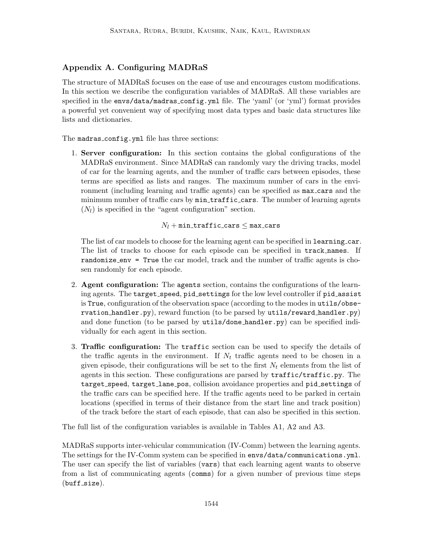# Appendix A. Configuring MADRaS

The structure of MADRaS focuses on the ease of use and encourages custom modifications. In this section we describe the configuration variables of MADRaS. All these variables are specified in the envs/data/madras config.yml file. The 'yaml' (or 'yml') format provides a powerful yet convenient way of specifying most data types and basic data structures like lists and dictionaries.

The madras\_config.yml file has three sections:

1. Server configuration: In this section contains the global configurations of the MADRaS environment. Since MADRaS can randomly vary the driving tracks, model of car for the learning agents, and the number of traffic cars between episodes, these terms are specified as lists and ranges. The maximum number of cars in the environment (including learning and traffic agents) can be specified as max cars and the minimum number of traffic cars by  $min\_traff$  is cars. The number of learning agents  $(N_l)$  is specified in the "agent configuration" section.

 $N_l$  + min\_traffic\_cars  $\leq$  max\_cars

The list of car models to choose for the learning agent can be specified in learning car. The list of tracks to choose for each episode can be specified in track names. If randomize env = True the car model, track and the number of traffic agents is chosen randomly for each episode.

- 2. Agent configuration: The agents section, contains the configurations of the learning agents. The target speed, pid settings for the low level controller if pid assist is True, configuration of the observation space (according to the modes in utils/observation handler.py), reward function (to be parsed by utils/reward handler.py) and done function (to be parsed by utils/done handler.py) can be specified individually for each agent in this section.
- 3. Traffic configuration: The traffic section can be used to specify the details of the traffic agents in the environment. If  $N_t$  traffic agents need to be chosen in a given episode, their configurations will be set to the first  $N_t$  elements from the list of agents in this section. These configurations are parsed by traffic/traffic.py. The target speed, target lane pos, collision avoidance properties and pid settings of the traffic cars can be specified here. If the traffic agents need to be parked in certain locations (specified in terms of their distance from the start line and track position) of the track before the start of each episode, that can also be specified in this section.

The full list of the configuration variables is available in Tables A1, A2 and A3.

MADRaS supports inter-vehicular communication (IV-Comm) between the learning agents. The settings for the IV-Comm system can be specified in envs/data/communications.yml. The user can specify the list of variables (vars) that each learning agent wants to observe from a list of communicating agents (comms) for a given number of previous time steps  $(buff_size).$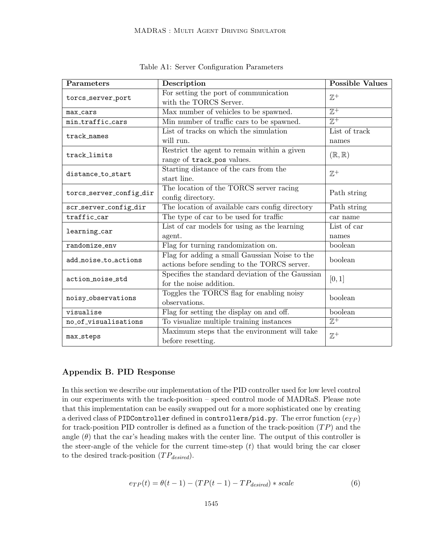| Parameters              | Description                                                                                  | <b>Possible Values</b>     |
|-------------------------|----------------------------------------------------------------------------------------------|----------------------------|
| torcs_server_port       | For setting the port of communication<br>with the TORCS Server.                              | $\mathbb{Z}^+$             |
| max_cars                | Max number of vehicles to be spawned.                                                        | $\overline{\mathbb{Z}^+}$  |
| min_traffic_cars        | Min number of traffic cars to be spawned.                                                    | $\overline{\mathbb{Z}^+}$  |
| track_names             | List of tracks on which the simulation                                                       | List of track              |
|                         | will run.                                                                                    | names                      |
| track_limits            | Restrict the agent to remain within a given<br>range of track_pos values.                    | $(\mathbb{R}, \mathbb{R})$ |
| distance_to_start       | Starting distance of the cars from the<br>start line.                                        | $\mathbb{Z}^+$             |
| torcs_server_config_dir | The location of the TORCS server racing<br>config directory.                                 | Path string                |
| scr_server_config_dir   | The location of available cars config directory                                              | Path string                |
| traffic_car             | The type of car to be used for traffic                                                       | car name                   |
| learning_car            | List of car models for using as the learning                                                 | List of car                |
|                         | agent.                                                                                       | names                      |
| randomize_env           | Flag for turning randomization on.                                                           | boolean                    |
| add_noise_to_actions    | Flag for adding a small Gaussian Noise to the<br>actions before sending to the TORCS server. | boolean                    |
| action_noise_std        | Specifies the standard deviation of the Gaussian<br>for the noise addition.                  | [0, 1]                     |
| noisy_observations      | Toggles the TORCS flag for enabling noisy<br>observations.                                   | boolean                    |
| visualise               | Flag for setting the display on and off.                                                     | boolean                    |
| no_of_visualisations    | To visualize multiple training instances                                                     | $\overline{\mathbb{Z}^+}$  |
| max_steps               | Maximum steps that the environment will take<br>before resetting.                            | $\mathbb{Z}^+$             |

Table A1: Server Configuration Parameters

# Appendix B. PID Response

In this section we describe our implementation of the PID controller used for low level control in our experiments with the track-position – speed control mode of MADRaS. Please note that this implementation can be easily swapped out for a more sophisticated one by creating a derived class of PIDController defined in controllers/pid.py. The error function  $(e_{TP})$ for track-position PID controller is defined as a function of the track-position  $(TP)$  and the angle  $(\theta)$  that the car's heading makes with the center line. The output of this controller is the steer-angle of the vehicle for the current time-step  $(t)$  that would bring the car closer to the desired track-position  $(TP_{desired})$ .

$$
e_{TP}(t) = \theta(t-1) - (TP(t-1) - TP_{desired}) * scale
$$
\n(6)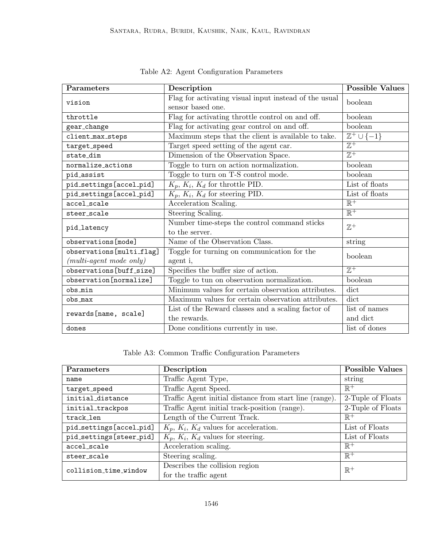| Parameters                         | Description                                           | <b>Possible Values</b>                |  |
|------------------------------------|-------------------------------------------------------|---------------------------------------|--|
| vision                             | Flag for activating visual input instead of the usual | boolean                               |  |
|                                    | sensor based one.                                     |                                       |  |
| throttle                           | Flag for activating throttle control on and off.      | boolean                               |  |
| gear_change                        | Flag for activating gear control on and off.          | boolean                               |  |
| client_max_steps                   | Maximum steps that the client is available to take.   | $\overline{\mathbb{Z}^+ \cup \{-1\}}$ |  |
| target_speed                       | Target speed setting of the agent car.                | $\overline{\mathbb{Z}^+}$             |  |
| state_dim                          | Dimension of the Observation Space.                   | $\overline{\mathbb{Z}^+}$             |  |
| normalize_actions                  | Toggle to turn on action normalization.               | boolean                               |  |
| pid_assist                         | Toggle to turn on T-S control mode.                   | boolean                               |  |
| pid_settings[accel_pid]            | $K_p, K_i, K_d$ for throttle PID.                     | List of floats                        |  |
| pid_settings[accel_pid]            | $K_p, K_i, K_d$ for steering PID.                     | List of floats                        |  |
| accel_scale                        | Acceleration Scaling.                                 | $\mathbb{R}^+$                        |  |
| steer_scale                        | Steering Scaling.                                     | $\overline{\mathbb{R}^+}$             |  |
| pid_latency                        | Number time-steps the control command sticks          | $\mathbb{Z}^+$                        |  |
|                                    | to the server.                                        |                                       |  |
| observations [mode]                | Name of the Observation Class.                        | string                                |  |
| observations[multi_flag]           | Toggle for turning on communication for the           | boolean                               |  |
| $(multi\text{-}agent\ mode\ only)$ | agent i,                                              |                                       |  |
| observations[buff_size]            | Specifies the buffer size of action.                  | $\overline{\mathbb{Z}^+}$             |  |
| observation[normalize]             | Toggle to tun on observation normalization.           | boolean                               |  |
| obs_min                            | Minimum values for certain observation attributes.    | dict                                  |  |
| obs_max                            | Maximum values for certain observation attributes.    | dict                                  |  |
| rewards[name, scale]               | List of the Reward classes and a scaling factor of    | list of names                         |  |
|                                    | the rewards.                                          | and dict                              |  |
| dones                              | Done conditions currently in use.                     | list of dones                         |  |

Table A2: Agent Configuration Parameters

# Table A3: Common Traffic Configuration Parameters

| Parameters              | Description                                             | <b>Possible Values</b> |
|-------------------------|---------------------------------------------------------|------------------------|
| name                    | Traffic Agent Type,                                     | string                 |
| target_speed            | Traffic Agent Speed.                                    | $\mathbb{R}^+$         |
| initial_distance        | Traffic Agent initial distance from start line (range). | 2-Tuple of Floats      |
| initial_trackpos        | Traffic Agent initial track-position (range).           | 2-Tuple of Floats      |
| track_len               | Length of the Current Track.                            | $\mathbb{R}^+$         |
| pid_settings[accel_pid] | $K_p, K_i, K_d$ values for acceleration.                | List of Floats         |
| pid_settings[steer_pid] | $K_p, K_i, K_d$ values for steering.                    | List of Floats         |
| accel scale             | Acceleration scaling.                                   | $\mathbb{R}^+$         |
| steer_scale             | Steering scaling.                                       | $\mathbb{R}^+$         |
| collision_time_window   | Describes the collision region                          | $\mathbb{R}^+$         |
|                         | for the traffic agent                                   |                        |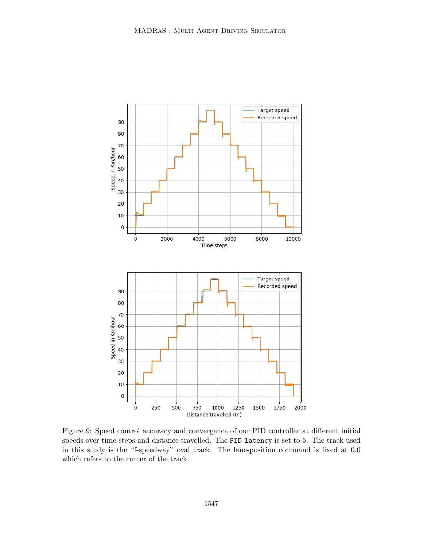

Figure 9: Speed control accuracy and convergence of our PID controller at different initial speeds over time-steps and distance travelled. The PID latency is set to 5. The track used in this study is the "f-speedway" oval track. The lane-position command is fixed at 0.0 which refers to the center of the track.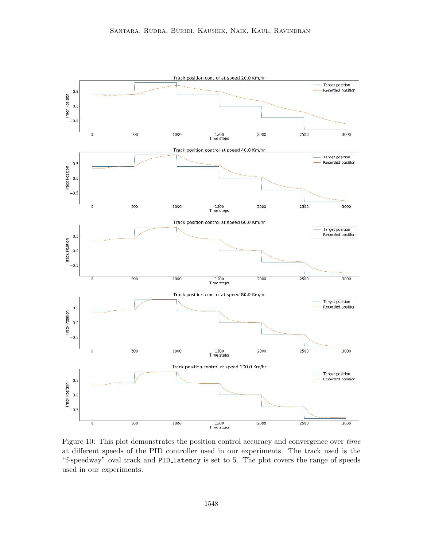

Figure 10: This plot demonstrates the position control accuracy and convergence over *time* at different speeds of the PID controller used in our experiments. The track used is the "f-speedway" oval track and PID latency is set to 5. The plot covers the range of speeds used in our experiments.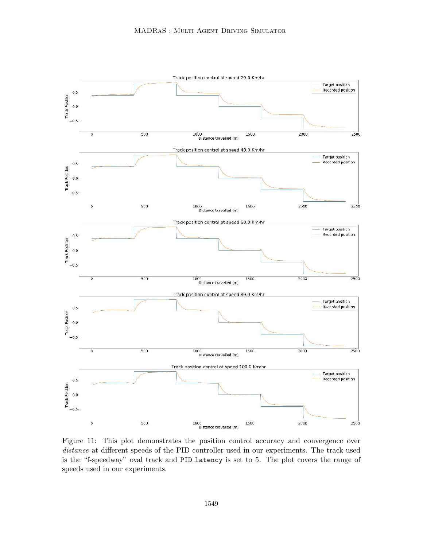

Figure 11: This plot demonstrates the position control accuracy and convergence over *distance* at different speeds of the PID controller used in our experiments. The track used is the "f-speedway" oval track and PID latency is set to 5. The plot covers the range of speeds used in our experiments.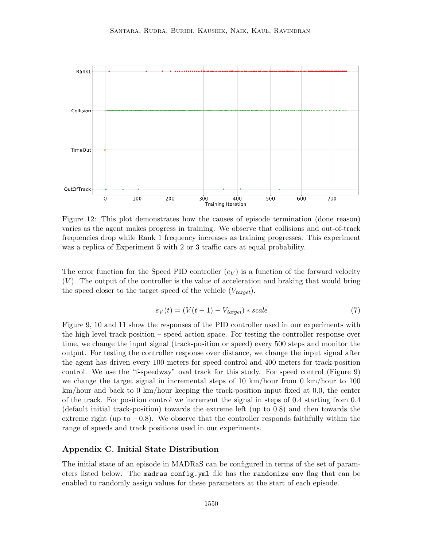

Figure 12: This plot demonstrates how the causes of episode termination (done reason) varies as the agent makes progress in training. We observe that collisions and out-of-track frequencies drop while Rank 1 frequency increases as training progresses. This experiment was a replica of Experiment 5 with 2 or 3 traffic cars at equal probability.

The error function for the Speed PID controller  $(e_V)$  is a function of the forward velocity  $(V)$ . The output of the controller is the value of acceleration and braking that would bring the speed closer to the target speed of the vehicle  $(V_{target})$ .

$$
e_V(t) = (V(t-1) - V_{target}) * scale \tag{7}
$$

Figure 9, 10 and 11 show the responses of the PID controller used in our experiments with the high level track-position – speed action space. For testing the controller response over time, we change the input signal (track-position or speed) every 500 steps and monitor the output. For testing the controller response over distance, we change the input signal after the agent has driven every 100 meters for speed control and 400 meters for track-position control. We use the "f-speedway" oval track for this study. For speed control (Figure 9) we change the target signal in incremental steps of 10 km/hour from 0 km/hour to 100 km/hour and back to 0 km/hour keeping the track-position input fixed at 0.0, the center of the track. For position control we increment the signal in steps of 0.4 starting from 0.4 (default initial track-position) towards the extreme left (up to 0.8) and then towards the extreme right (up to  $-0.8$ ). We observe that the controller responds faithfully within the range of speeds and track positions used in our experiments.

### Appendix C. Initial State Distribution

The initial state of an episode in MADRaS can be configured in terms of the set of parameters listed below. The madras config.yml file has the randomize env flag that can be enabled to randomly assign values for these parameters at the start of each episode.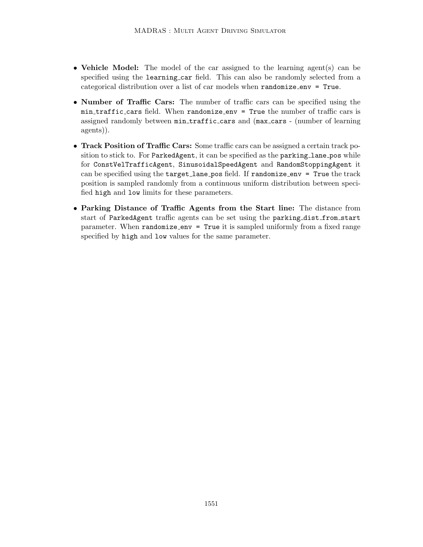- Vehicle Model: The model of the car assigned to the learning agent(s) can be specified using the learning car field. This can also be randomly selected from a categorical distribution over a list of car models when randomize env = True.
- Number of Traffic Cars: The number of traffic cars can be specified using the min traffic cars field. When randomize env = True the number of traffic cars is assigned randomly between min traffic cars and (max cars - (number of learning agents)).
- Track Position of Traffic Cars: Some traffic cars can be assigned a certain track position to stick to. For ParkedAgent, it can be specified as the parking lane pos while for ConstVelTrafficAgent, SinusoidalSpeedAgent and RandomStoppingAgent it can be specified using the  $target$ -lane pos field. If  $randomize$ -env = True the track position is sampled randomly from a continuous uniform distribution between specified high and low limits for these parameters.
- Parking Distance of Traffic Agents from the Start line: The distance from start of ParkedAgent traffic agents can be set using the parking dist from start parameter. When randomize env = True it is sampled uniformly from a fixed range specified by high and low values for the same parameter.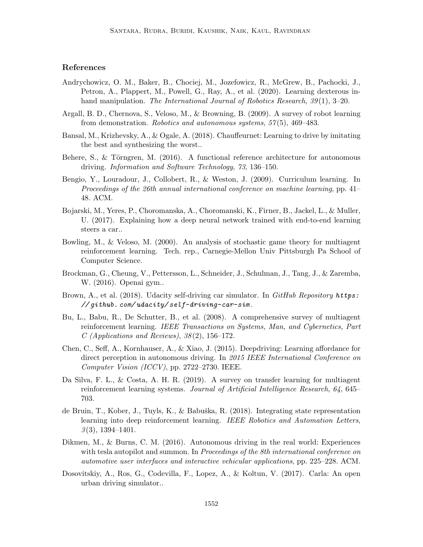# References

- Andrychowicz, O. M., Baker, B., Chociej, M., Jozefowicz, R., McGrew, B., Pachocki, J., Petron, A., Plappert, M., Powell, G., Ray, A., et al. (2020). Learning dexterous inhand manipulation. *The International Journal of Robotics Research*, *39* (1), 3–20.
- Argall, B. D., Chernova, S., Veloso, M., & Browning, B. (2009). A survey of robot learning from demonstration. *Robotics and autonomous systems*, *57* (5), 469–483.
- Bansal, M., Krizhevsky, A., & Ogale, A. (2018). Chauffeurnet: Learning to drive by imitating the best and synthesizing the worst..
- Behere, S., & Törngren, M. (2016). A functional reference architecture for autonomous driving. *Information and Software Technology*, *73*, 136–150.
- Bengio, Y., Louradour, J., Collobert, R., & Weston, J. (2009). Curriculum learning. In *Proceedings of the 26th annual international conference on machine learning*, pp. 41– 48. ACM.
- Bojarski, M., Yeres, P., Choromanska, A., Choromanski, K., Firner, B., Jackel, L., & Muller, U. (2017). Explaining how a deep neural network trained with end-to-end learning steers a car..
- Bowling, M., & Veloso, M. (2000). An analysis of stochastic game theory for multiagent reinforcement learning. Tech. rep., Carnegie-Mellon Univ Pittsburgh Pa School of Computer Science.
- Brockman, G., Cheung, V., Pettersson, L., Schneider, J., Schulman, J., Tang, J., & Zaremba, W. (2016). Openai gym..
- Brown, A., et al. (2018). Udacity self-driving car simulator. In *GitHub Repository https: // github. com/ udacity/ self-driving-car-sim* .
- Bu, L., Babu, R., De Schutter, B., et al. (2008). A comprehensive survey of multiagent reinforcement learning. *IEEE Transactions on Systems, Man, and Cybernetics, Part C (Applications and Reviews)*, *38* (2), 156–172.
- Chen, C., Seff, A., Kornhauser, A., & Xiao, J. (2015). Deepdriving: Learning affordance for direct perception in autonomous driving. In *2015 IEEE International Conference on Computer Vision (ICCV)*, pp. 2722–2730. IEEE.
- Da Silva, F. L., & Costa, A. H. R. (2019). A survey on transfer learning for multiagent reinforcement learning systems. *Journal of Artificial Intelligence Research*, *64*, 645– 703.
- de Bruin, T., Kober, J., Tuyls, K., & Babuška, R. (2018). Integrating state representation learning into deep reinforcement learning. *IEEE Robotics and Automation Letters*, *3* (3), 1394–1401.
- Dikmen, M., & Burns, C. M. (2016). Autonomous driving in the real world: Experiences with tesla autopilot and summon. In *Proceedings of the 8th international conference on automotive user interfaces and interactive vehicular applications*, pp. 225–228. ACM.
- Dosovitskiy, A., Ros, G., Codevilla, F., Lopez, A., & Koltun, V. (2017). Carla: An open urban driving simulator..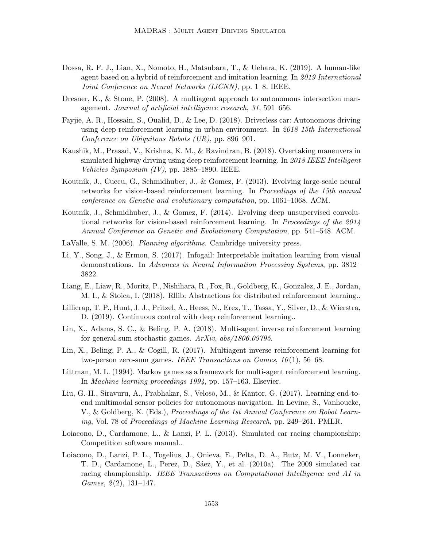- Dossa, R. F. J., Lian, X., Nomoto, H., Matsubara, T., & Uehara, K. (2019). A human-like agent based on a hybrid of reinforcement and imitation learning. In *2019 International Joint Conference on Neural Networks (IJCNN)*, pp. 1–8. IEEE.
- Dresner, K., & Stone, P. (2008). A multiagent approach to autonomous intersection management. *Journal of artificial intelligence research*, *31*, 591–656.
- Fayjie, A. R., Hossain, S., Oualid, D., & Lee, D. (2018). Driverless car: Autonomous driving using deep reinforcement learning in urban environment. In *2018 15th International Conference on Ubiquitous Robots (UR)*, pp. 896–901.
- Kaushik, M., Prasad, V., Krishna, K. M., & Ravindran, B. (2018). Overtaking maneuvers in simulated highway driving using deep reinforcement learning. In *2018 IEEE Intelligent Vehicles Symposium (IV)*, pp. 1885–1890. IEEE.
- Koutník, J., Cuccu, G., Schmidhuber, J., & Gomez, F. (2013). Evolving large-scale neural networks for vision-based reinforcement learning. In *Proceedings of the 15th annual conference on Genetic and evolutionary computation*, pp. 1061–1068. ACM.
- Koutník, J., Schmidhuber, J., & Gomez, F. (2014). Evolving deep unsupervised convolutional networks for vision-based reinforcement learning. In *Proceedings of the 2014 Annual Conference on Genetic and Evolutionary Computation*, pp. 541–548. ACM.
- LaValle, S. M. (2006). *Planning algorithms*. Cambridge university press.
- Li, Y., Song, J., & Ermon, S. (2017). Infogail: Interpretable imitation learning from visual demonstrations. In *Advances in Neural Information Processing Systems*, pp. 3812– 3822.
- Liang, E., Liaw, R., Moritz, P., Nishihara, R., Fox, R., Goldberg, K., Gonzalez, J. E., Jordan, M. I., & Stoica, I. (2018). Rllib: Abstractions for distributed reinforcement learning..
- Lillicrap, T. P., Hunt, J. J., Pritzel, A., Heess, N., Erez, T., Tassa, Y., Silver, D., & Wierstra, D. (2019). Continuous control with deep reinforcement learning..
- Lin, X., Adams, S. C., & Beling, P. A. (2018). Multi-agent inverse reinforcement learning for general-sum stochastic games. *ArXiv*, *abs/1806.09795*.
- Lin, X., Beling, P. A., & Cogill, R. (2017). Multiagent inverse reinforcement learning for two-person zero-sum games. *IEEE Transactions on Games*, *10* (1), 56–68.
- Littman, M. L. (1994). Markov games as a framework for multi-agent reinforcement learning. In *Machine learning proceedings 1994*, pp. 157–163. Elsevier.
- Liu, G.-H., Siravuru, A., Prabhakar, S., Veloso, M., & Kantor, G. (2017). Learning end-toend multimodal sensor policies for autonomous navigation. In Levine, S., Vanhoucke, V., & Goldberg, K. (Eds.), *Proceedings of the 1st Annual Conference on Robot Learning*, Vol. 78 of *Proceedings of Machine Learning Research*, pp. 249–261. PMLR.
- Loiacono, D., Cardamone, L., & Lanzi, P. L. (2013). Simulated car racing championship: Competition software manual..
- Loiacono, D., Lanzi, P. L., Togelius, J., Onieva, E., Pelta, D. A., Butz, M. V., Lonneker, T. D., Cardamone, L., Perez, D., Sáez, Y., et al. (2010a). The 2009 simulated car racing championship. *IEEE Transactions on Computational Intelligence and AI in Games*, *2* (2), 131–147.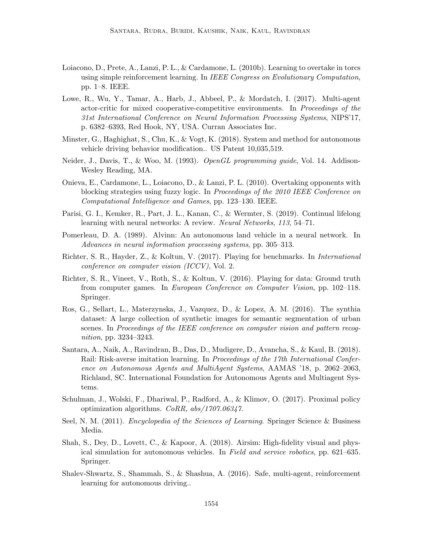- Loiacono, D., Prete, A., Lanzi, P. L., & Cardamone, L. (2010b). Learning to overtake in torcs using simple reinforcement learning. In *IEEE Congress on Evolutionary Computation*, pp. 1–8. IEEE.
- Lowe, R., Wu, Y., Tamar, A., Harb, J., Abbeel, P., & Mordatch, I. (2017). Multi-agent actor-critic for mixed cooperative-competitive environments. In *Proceedings of the 31st International Conference on Neural Information Processing Systems*, NIPS'17, p. 6382–6393, Red Hook, NY, USA. Curran Associates Inc.
- Minster, G., Haghighat, S., Chu, K., & Vogt, K. (2018). System and method for autonomous vehicle driving behavior modification.. US Patent 10,035,519.
- Neider, J., Davis, T., & Woo, M. (1993). *OpenGL programming guide*, Vol. 14. Addison-Wesley Reading, MA.
- Onieva, E., Cardamone, L., Loiacono, D., & Lanzi, P. L. (2010). Overtaking opponents with blocking strategies using fuzzy logic. In *Proceedings of the 2010 IEEE Conference on Computational Intelligence and Games*, pp. 123–130. IEEE.
- Parisi, G. I., Kemker, R., Part, J. L., Kanan, C., & Wermter, S. (2019). Continual lifelong learning with neural networks: A review. *Neural Networks*, *113*, 54–71.
- Pomerleau, D. A. (1989). Alvinn: An autonomous land vehicle in a neural network. In *Advances in neural information processing systems*, pp. 305–313.
- Richter, S. R., Hayder, Z., & Koltun, V. (2017). Playing for benchmarks. In *International conference on computer vision (ICCV)*, Vol. 2.
- Richter, S. R., Vineet, V., Roth, S., & Koltun, V. (2016). Playing for data: Ground truth from computer games. In *European Conference on Computer Vision*, pp. 102–118. Springer.
- Ros, G., Sellart, L., Materzynska, J., Vazquez, D., & Lopez, A. M. (2016). The synthia dataset: A large collection of synthetic images for semantic segmentation of urban scenes. In *Proceedings of the IEEE conference on computer vision and pattern recognition*, pp. 3234–3243.
- Santara, A., Naik, A., Ravindran, B., Das, D., Mudigere, D., Avancha, S., & Kaul, B. (2018). Rail: Risk-averse imitation learning. In *Proceedings of the 17th International Conference on Autonomous Agents and MultiAgent Systems*, AAMAS '18, p. 2062–2063, Richland, SC. International Foundation for Autonomous Agents and Multiagent Systems.
- Schulman, J., Wolski, F., Dhariwal, P., Radford, A., & Klimov, O. (2017). Proximal policy optimization algorithms. *CoRR*, *abs/1707.06347*.
- Seel, N. M. (2011). *Encyclopedia of the Sciences of Learning*. Springer Science & Business Media.
- Shah, S., Dey, D., Lovett, C., & Kapoor, A. (2018). Airsim: High-fidelity visual and physical simulation for autonomous vehicles. In *Field and service robotics*, pp. 621–635. Springer.
- Shalev-Shwartz, S., Shammah, S., & Shashua, A. (2016). Safe, multi-agent, reinforcement learning for autonomous driving..